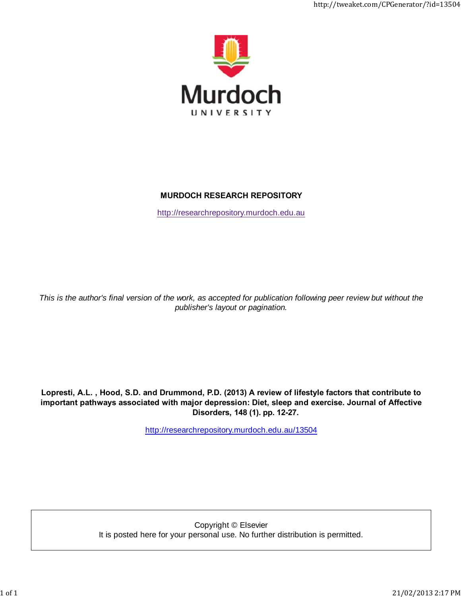

http://tweaket.com/CPGenerator/?id=13504

#### **MURDOCH RESEARCH REPOSITORY**

http://researchrepository.murdoch.edu.au

*This is the author's final version of the work, as accepted for publication following peer review but without the publisher's layout or pagination.*

**Lopresti, A.L. , Hood, S.D. and Drummond, P.D. (2013) A review of lifestyle factors that contribute to important pathways associated with major depression: Diet, sleep and exercise. Journal of Affective Disorders, 148 (1). pp. 12-27.**

http://researchrepository.murdoch.edu.au/13504

Copyright © Elsevier It is posted here for your personal use. No further distribution is permitted.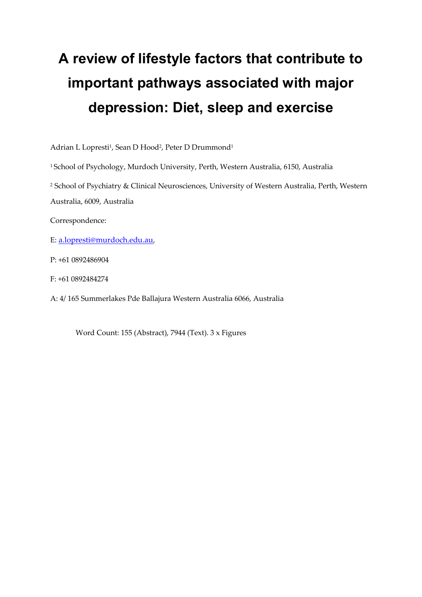# **A review of lifestyle factors that contribute to important pathways associated with major depression: Diet, sleep and exercise**

Adrian L Lopresti<sup>1</sup>, Sean D Hood<sup>2</sup>, Peter D Drummond<sup>1</sup>

- 1 School of Psychology, Murdoch University, Perth, Western Australia, 6150, Australia
- <sup>2</sup> School of Psychiatry & Clinical Neurosciences, University of Western Australia, Perth, Western Australia, 6009, Australia
- Correspondence:
- E[: a.lopresti@murdoch.edu.au,](mailto:a.lopresti@murdoch.edu.au)
- P: +61 0892486904
- F: +61 0892484274
- A: 4/ 165 Summerlakes Pde Ballajura Western Australia 6066, Australia

Word Count: 155 (Abstract), 7944 (Text). 3 x Figures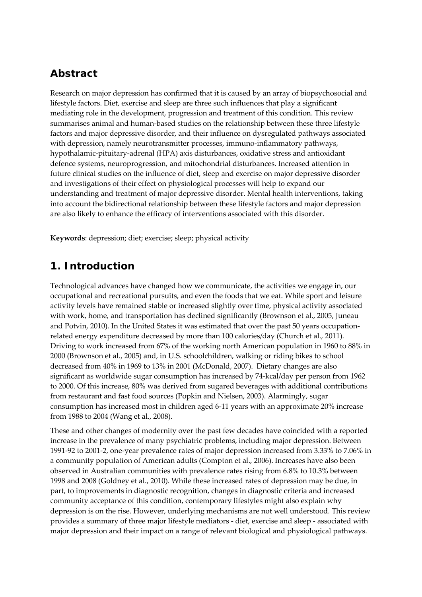# **Abstract**

Research on major depression has confirmed that it is caused by an array of biopsychosocial and lifestyle factors. Diet, exercise and sleep are three such influences that play a significant mediating role in the development, progression and treatment of this condition. This review summarises animal and human-based studies on the relationship between these three lifestyle factors and major depressive disorder, and their influence on dysregulated pathways associated with depression, namely neurotransmitter processes, immuno-inflammatory pathways, hypothalamic-pituitary-adrenal (HPA) axis disturbances, oxidative stress and antioxidant defence systems, neuroprogression, and mitochondrial disturbances. Increased attention in future clinical studies on the influence of diet, sleep and exercise on major depressive disorder and investigations of their effect on physiological processes will help to expand our understanding and treatment of major depressive disorder. Mental health interventions, taking into account the bidirectional relationship between these lifestyle factors and major depression are also likely to enhance the efficacy of interventions associated with this disorder.

**Keywords**: depression; diet; exercise; sleep; physical activity

## **1. Introduction**

Technological advances have changed how we communicate, the activities we engage in, our occupational and recreational pursuits, and even the foods that we eat. While sport and leisure activity levels have remained stable or increased slightly over time, physical activity associated with work, home, and transportation has declined significantly [\(Brownson et al., 2005,](#page-19-0) [Juneau](#page-22-0)  [and Potvin, 2010\)](#page-22-0). In the United States it was estimated that over the past 50 years occupationrelated energy expenditure decreased by more than 100 calories/day [\(Church et al., 2011\)](#page-19-1). Driving to work increased from 67% of the working north American population in 1960 to 88% in 2000 [\(Brownson et al., 2005\)](#page-19-0) and, in U.S. schoolchildren, walking or riding bikes to school decreased from 40% in 1969 to 13% in 2001 [\(McDonald, 2007\)](#page-25-0). Dietary changes are also significant as worldwide sugar consumption has increased by 74-kcal/day per person from 1962 to 2000. Of this increase, 80% was derived from sugared beverages with additional contributions from restaurant and fast food sources [\(Popkin and Nielsen, 2003\)](#page-27-0). Alarmingly, sugar consumption has increased most in children aged 6-11 years with an approximate 20% increase from 1988 to 2004 [\(Wang et al., 2008\)](#page-30-0).

These and other changes of modernity over the past few decades have coincided with a reported increase in the prevalence of many psychiatric problems, including major depression. Between 1991-92 to 2001-2, one-year prevalence rates of major depression increased from 3.33% to 7.06% in a community population of American adults [\(Compton et al., 2006\)](#page-20-0). Increases have also been observed in Australian communities with prevalence rates rising from 6.8% to 10.3% between 1998 and 2008 [\(Goldney et al., 2010\)](#page-21-0). While these increased rates of depression may be due, in part, to improvements in diagnostic recognition, changes in diagnostic criteria and increased community acceptance of this condition, contemporary lifestyles might also explain why depression is on the rise. However, underlying mechanisms are not well understood. This review provides a summary of three major lifestyle mediators - diet, exercise and sleep - associated with major depression and their impact on a range of relevant biological and physiological pathways.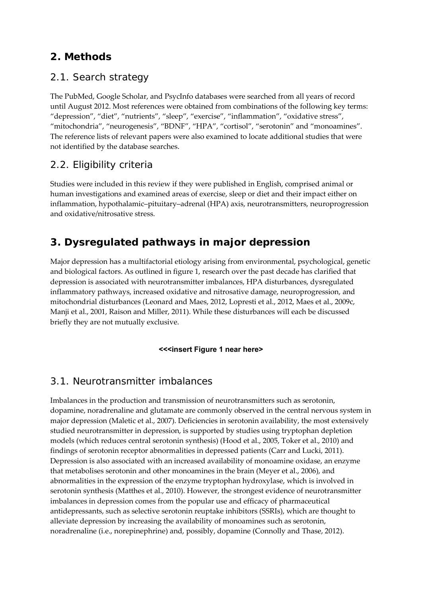# **2. Methods**

#### 2.1. Search strategy

The PubMed, Google Scholar, and PsycInfo databases were searched from all years of record until August 2012. Most references were obtained from combinations of the following key terms: "depression", "diet", "nutrients", "sleep", "exercise", "inflammation", "oxidative stress", "mitochondria", "neurogenesis", "BDNF", "HPA", "cortisol", "serotonin" and "monoamines". The reference lists of relevant papers were also examined to locate additional studies that were not identified by the database searches.

## 2.2. Eligibility criteria

Studies were included in this review if they were published in English, comprised animal or human investigations and examined areas of exercise, sleep or diet and their impact either on inflammation, hypothalamic–pituitary–adrenal (HPA) axis, neurotransmitters, neuroprogression and oxidative/nitrosative stress.

# **3. Dysregulated pathways in major depression**

Major depression has a multifactorial etiology arising from environmental, psychological, genetic and biological factors. As outlined in figure 1, research over the past decade has clarified that depression is associated with neurotransmitter imbalances, HPA disturbances, dysregulated inflammatory pathways, increased oxidative and nitrosative damage, neuroprogression, and mitochondrial disturbances [\(Leonard and Maes, 2012,](#page-23-0) [Lopresti et al., 2012,](#page-23-1) [Maes et al., 2009c,](#page-24-0) [Manji et al., 2001,](#page-24-1) [Raison and Miller, 2011\)](#page-27-1). While these disturbances will each be discussed briefly they are not mutually exclusive.

#### **<<<insert Figure 1 near here>**

#### 3.1. Neurotransmitter imbalances

Imbalances in the production and transmission of neurotransmitters such as serotonin, dopamine, noradrenaline and glutamate are commonly observed in the central nervous system in major depression [\(Maletic et al., 2007\)](#page-24-2). Deficiencies in serotonin availability, the most extensively studied neurotransmitter in depression, is supported by studies using tryptophan depletion models (which reduces central serotonin synthesis) [\(Hood et al., 2005,](#page-22-1) [Toker et al., 2010\)](#page-29-0) and findings of serotonin receptor abnormalities in depressed patients [\(Carr and Lucki, 2011\)](#page-19-2). Depression is also associated with an increased availability of monoamine oxidase, an enzyme that metabolises serotonin and other monoamines in the brain [\(Meyer et al., 2006\)](#page-25-1), and abnormalities in the expression of the enzyme tryptophan hydroxylase, which is involved in serotonin synthesis [\(Matthes et al., 2010\)](#page-25-2). However, the strongest evidence of neurotransmitter imbalances in depression comes from the popular use and efficacy of pharmaceutical antidepressants, such as selective serotonin reuptake inhibitors (SSRIs), which are thought to alleviate depression by increasing the availability of monoamines such as serotonin, noradrenaline (i.e., norepinephrine) and, possibly, dopamine [\(Connolly and Thase, 2012\)](#page-20-1).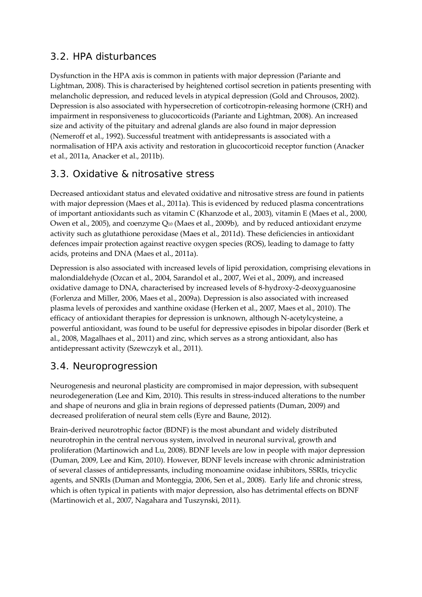#### 3.2. HPA disturbances

Dysfunction in the HPA axis is common in patients with major depression [\(Pariante and](#page-26-0)  [Lightman, 2008\)](#page-26-0). This is characterised by heightened cortisol secretion in patients presenting with melancholic depression, and reduced levels in atypical depression [\(Gold and Chrousos, 2002\)](#page-21-1). Depression is also associated with hypersecretion of corticotropin-releasing hormone (CRH) and impairment in responsiveness to glucocorticoids [\(Pariante and Lightman, 2008\)](#page-26-0). An increased size and activity of the pituitary and adrenal glands are also found in major depression [\(Nemeroff et al., 1992\)](#page-26-1). Successful treatment with antidepressants is associated with a normalisation of HPA axis activity and restoration in glucocorticoid receptor function [\(Anacker](#page-18-0)  [et al., 2011a,](#page-18-0) [Anacker et al., 2011b\)](#page-18-1).

## 3.3. Oxidative & nitrosative stress

Decreased antioxidant status and elevated oxidative and nitrosative stress are found in patients with major depression [\(Maes et al., 2011a\)](#page-24-3). This is evidenced by reduced plasma concentrations of important antioxidants such as vitamin C [\(Khanzode et al., 2003\)](#page-22-2), vitamin E [\(Maes et al., 2000,](#page-24-4) [Owen et al., 2005\)](#page-26-2), and coenzyme Q10 [\(Maes et al., 2009b\)](#page-24-5), and by reduced antioxidant enzyme activity such as glutathione peroxidase [\(Maes et al., 2011d\)](#page-24-6). These deficiencies in antioxidant defences impair protection against reactive oxygen species (ROS), leading to damage to fatty acids, proteins and DNA [\(Maes et al., 2011a\)](#page-24-3).

Depression is also associated with increased levels of lipid peroxidation, comprising elevations in malondialdehyde [\(Ozcan et al., 2004,](#page-26-3) [Sarandol et al., 2007,](#page-28-0) [Wei et al., 2009\)](#page-30-1), and increased oxidative damage to DNA, characterised by increased levels of 8-hydroxy-2-deoxyguanosine [\(Forlenza and Miller, 2006,](#page-21-2) [Maes et al., 2009a\)](#page-24-7). Depression is also associated with increased plasma levels of peroxides and xanthine oxidase [\(Herken et al., 2007,](#page-22-3) [Maes et al., 2010\)](#page-24-8). The efficacy of antioxidant therapies for depression is unknown, although N-acetylcysteine, a powerful antioxidant, was found to be useful for depressive episodes in bipolar disorder [\(Berk et](#page-18-2)  [al., 2008,](#page-18-2) [Magalhaes et al., 2011\)](#page-24-9) and zinc, which serves as a strong antioxidant, also has antidepressant activity [\(Szewczyk et al., 2011\)](#page-29-1).

#### 3.4. Neuroprogression

Neurogenesis and neuronal plasticity are compromised in major depression, with subsequent neurodegeneration [\(Lee and Kim, 2010\)](#page-23-2). This results in stress-induced alterations to the number and shape of neurons and glia in brain regions of depressed patients [\(Duman, 2009\)](#page-20-2) and decreased proliferation of neural stem cells [\(Eyre and Baune, 2012\)](#page-20-3).

Brain-derived neurotrophic factor (BDNF) is the most abundant and widely distributed neurotrophin in the central nervous system, involved in neuronal survival, growth and proliferation [\(Martinowich and Lu, 2008\)](#page-25-3). BDNF levels are low in people with major depression [\(Duman, 2009,](#page-20-2) [Lee and Kim, 2010\)](#page-23-2). However, BDNF levels increase with chronic administration of several classes of antidepressants, including monoamine oxidase inhibitors, SSRIs, tricyclic agents, and SNRIs [\(Duman and Monteggia, 2006,](#page-20-4) [Sen et al., 2008\)](#page-28-1). Early life and chronic stress, which is often typical in patients with major depression, also has detrimental effects on BDNF [\(Martinowich et al., 2007,](#page-25-4) [Nagahara and Tuszynski, 2011\)](#page-26-4).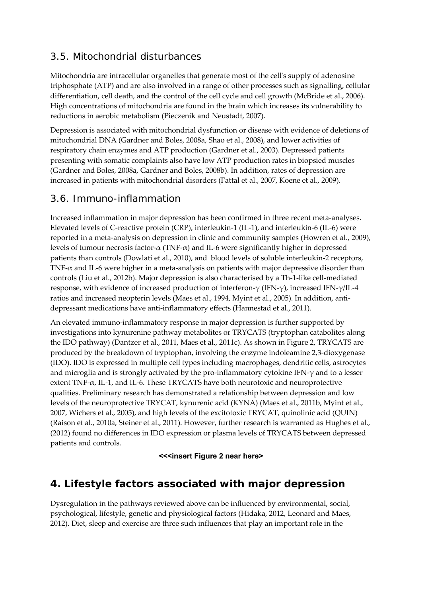#### 3.5. Mitochondrial disturbances

Mitochondria are intracellular organelles that generate most of the cell's supply of adenosine triphosphate (ATP) and are also involved in a range of other processes such as signalling, cellular differentiation, cell death, and the control of the cell cycle and cell growth [\(McBride et al., 2006\)](#page-25-5). High concentrations of mitochondria are found in the brain which increases its vulnerability to reductions in aerobic metabolism [\(Pieczenik and Neustadt, 2007\)](#page-27-2).

Depression is associated with mitochondrial dysfunction or disease with evidence of deletions of mitochondrial DNA [\(Gardner and Boles, 2008a,](#page-21-3) [Shao et al., 2008\)](#page-28-2), and lower activities of respiratory chain enzymes and ATP production [\(Gardner et al., 2003\)](#page-21-4). Depressed patients presenting with somatic complaints also have low ATP production rates in biopsied muscles [\(Gardner and Boles, 2008a,](#page-21-3) [Gardner and Boles, 2008b\)](#page-21-5). In addition, rates of depression are increased in patients with mitochondrial disorders [\(Fattal et al., 2007,](#page-20-5) [Koene et al., 2009\)](#page-23-3).

#### 3.6. Immuno-inflammation

Increased inflammation in major depression has been confirmed in three recent meta-analyses. Elevated levels of C-reactive protein (CRP), interleukin-1 (IL-1), and interleukin-6 (IL-6) were reported in a meta-analysis on depression in clinic and community samples [\(Howren et al., 2009\)](#page-22-4), levels of tumour necrosis factor-α (TNF-α) and IL-6 were significantly higher in depressed patients than controls [\(Dowlati et al., 2010\)](#page-20-6), and blood levels of soluble interleukin-2 receptors, TNF-α and IL-6 were higher in a meta-analysis on patients with major depressive disorder than controls [\(Liu et al., 2012b\)](#page-23-4). Major depression is also characterised by a Th-1-like cell-mediated response, with evidence of increased production of interferon-γ (IFN-γ), increased IFN-γ/IL-4 ratios and increased neopterin levels [\(Maes et al., 1994,](#page-24-10) [Myint et al., 2005\)](#page-26-5). In addition, antidepressant medications have anti-inflammatory effects [\(Hannestad et al., 2011\)](#page-22-5).

An elevated immuno-inflammatory response in major depression is further supported by investigations into kynurenine pathway metabolites or TRYCATS (tryptophan catabolites along the IDO pathway) [\(Dantzer et al., 2011,](#page-20-7) [Maes et al., 2011c\)](#page-24-11). As shown in Figure 2, TRYCATS are produced by the breakdown of tryptophan, involving the enzyme indoleamine 2,3-dioxygenase (IDO). IDO is expressed in multiple cell types including macrophages, dendritic cells, astrocytes and microglia and is strongly activated by the pro-inflammatory cytokine IFN-γ and to a lesser extent TNF- $\alpha$ , IL-1, and IL-6. These TRYCATS have both neurotoxic and neuroprotective qualities. Preliminary research has demonstrated a relationship between depression and low levels of the neuroprotective TRYCAT, kynurenic acid (KYNA) [\(Maes et al., 2011b,](#page-24-12) [Myint et al.,](#page-26-6)  [2007,](#page-26-6) [Wichers et al., 2005\)](#page-30-2), and high levels of the excitotoxic TRYCAT, quinolinic acid (QUIN) [\(Raison et al., 2010a,](#page-27-3) [Steiner et al., 2011\)](#page-28-3). However, further research is warranted as Hughes et al., [\(2012\)](#page-22-6) found no differences in IDO expression or plasma levels of TRYCATS between depressed patients and controls.

#### **<<<insert Figure 2 near here>**

# **4. Lifestyle factors associated with major depression**

Dysregulation in the pathways reviewed above can be influenced by environmental, social, psychological, lifestyle, genetic and physiological factors [\(Hidaka, 2012,](#page-22-7) [Leonard and Maes,](#page-23-0)  [2012\)](#page-23-0). Diet, sleep and exercise are three such influences that play an important role in the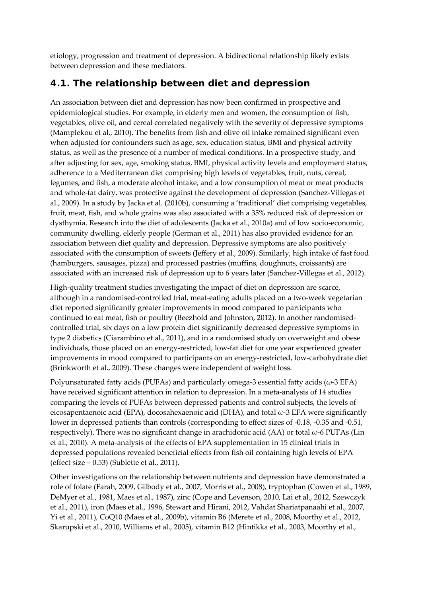etiology, progression and treatment of depression. A bidirectional relationship likely exists between depression and these mediators.

#### **4.1. The relationship between diet and depression**

An association between diet and depression has now been confirmed in prospective and epidemiological studies. For example, in elderly men and women, the consumption of fish, vegetables, olive oil, and cereal correlated negatively with the severity of depressive symptoms [\(Mamplekou et al., 2010\)](#page-24-13). The benefits from fish and olive oil intake remained significant even when adjusted for confounders such as age, sex, education status, BMI and physical activity status, as well as the presence of a number of medical conditions. In a prospective study, and after adjusting for sex, age, smoking status, BMI, physical activity levels and employment status, adherence to a Mediterranean diet comprising high levels of vegetables, fruit, nuts, cereal, legumes, and fish, a moderate alcohol intake, and a low consumption of meat or meat products and whole-fat dairy, was protective against the development of depression [\(Sanchez-Villegas et](#page-28-4)  [al., 2009\)](#page-28-4). In a study by Jacka et al. [\(2010b\)](#page-22-8), consuming a 'traditional' diet comprising vegetables, fruit, meat, fish, and whole grains was also associated with a 35% reduced risk of depression or dysthymia. Research into the diet of adolescents [\(Jacka et al., 2010a\)](#page-22-9) and of low socio-economic, community dwelling, elderly people [\(German et al., 2011\)](#page-21-6) has also provided evidence for an association between diet quality and depression. Depressive symptoms are also positively associated with the consumption of sweets [\(Jeffery et al., 2009\)](#page-22-10). Similarly, high intake of fast food (hamburgers, sausages, pizza) and processed pastries (muffins, doughnuts, croissants) are associated with an increased risk of depression up to 6 years later [\(Sanchez-Villegas et al., 2012\)](#page-28-5).

High-quality treatment studies investigating the impact of diet on depression are scarce, although in a randomised-controlled trial, meat-eating adults placed on a two-week vegetarian diet reported significantly greater improvements in mood compared to participants who continued to eat meat, fish or poultry [\(Beezhold and Johnston, 2012\)](#page-18-3). In another randomisedcontrolled trial, six days on a low protein diet significantly decreased depressive symptoms in type 2 diabetics [\(Ciarambino et al., 2011\)](#page-19-3), and in a randomised study on overweight and obese individuals, those placed on an energy-restricted, low-fat diet for one year experienced greater improvements in mood compared to participants on an energy-restricted, low-carbohydrate diet [\(Brinkworth et al., 2009\)](#page-19-4). These changes were independent of weight loss.

Polyunsaturated fatty acids (PUFAs) and particularly omega-3 essential fatty acids ( $\omega$ -3 EFA) have received significant attention in relation to depression. In a meta-analysis of 14 studies comparing the levels of PUFAs between depressed patients and control subjects, the levels of eicosapentaenoic acid (EPA), docosahexaenoic acid (DHA), and total  $\omega$ -3 EFA were significantly lower in depressed patients than controls (corresponding to effect sizes of -0.18, -0.35 and -0.51, respectively). There was no significant change in arachidonic acid (AA) or total  $\omega$ -6 PUFAs (Lin [et al., 2010\)](#page-23-5). A meta-analysis of the effects of EPA supplementation in 15 clinical trials in depressed populations revealed beneficial effects from fish oil containing high levels of EPA (effect size  $= 0.53$ ) [\(Sublette et al., 2011\)](#page-29-2).

Other investigations on the relationship between nutrients and depression have demonstrated a role of folate [\(Farah, 2009,](#page-20-8) [Gilbody et al., 2007,](#page-21-7) [Morris et al., 2008\)](#page-26-7), tryptophan [\(Cowen et al., 1989,](#page-20-9) [DeMyer et al., 1981,](#page-20-10) [Maes et al., 1987\)](#page-24-14), zinc [\(Cope and Levenson, 2010,](#page-20-11) [Lai et al., 2012,](#page-23-6) [Szewczyk](#page-29-1)  [et al., 2011\)](#page-29-1), iron [\(Maes et al., 1996,](#page-24-15) [Stewart and Hirani, 2012,](#page-28-6) [Vahdat Shariatpanaahi et al., 2007,](#page-29-3) [Yi et al., 2011\)](#page-30-3), CoQ10 [\(Maes et al., 2009b\)](#page-24-5), vitamin B6 [\(Merete et al., 2008,](#page-25-6) [Moorthy et al., 2012,](#page-25-7) [Skarupski et al., 2010,](#page-28-7) [Williams et al., 2005\)](#page-30-4), vitamin B12 [\(Hintikka et al., 2003,](#page-22-11) [Moorthy et al.,](#page-25-7)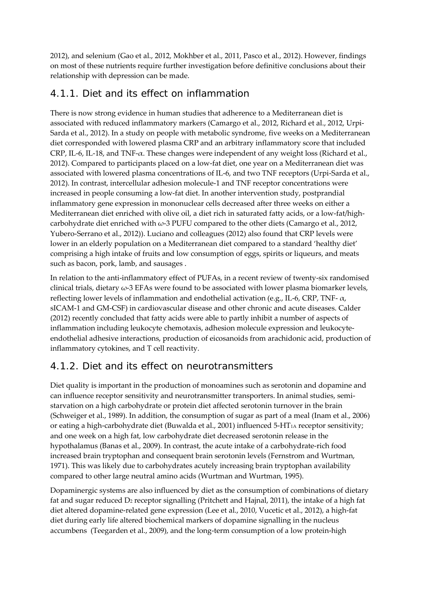2012), and selenium [\(Gao et al., 2012,](#page-21-8) [Mokhber et al., 2011,](#page-25-8) [Pasco et al., 2012\)](#page-26-8). However, findings on most of these nutrients require further investigation before definitive conclusions about their relationship with depression can be made.

## 4.1.1. Diet and its effect on inflammation

There is now strong evidence in human studies that adherence to a Mediterranean diet is associated with reduced inflammatory markers [\(Camargo et al., 2012,](#page-19-5) [Richard et al., 2012,](#page-27-4) [Urpi-](#page-29-4)[Sarda et al., 2012\)](#page-29-4). In a study on people with metabolic syndrome, five weeks on a Mediterranean diet corresponded with lowered plasma CRP and an arbitrary inflammatory score that included CRP, IL-6, IL-18, and TNF-α. These changes were independent of any weight loss [\(Richard et al.,](#page-27-4)  [2012\)](#page-27-4). Compared to participants placed on a low-fat diet, one year on a Mediterranean diet was associated with lowered plasma concentrations of IL-6, and two TNF receptors [\(Urpi-Sarda et al.,](#page-29-4)  [2012\)](#page-29-4). In contrast, intercellular adhesion molecule-1 and TNF receptor concentrations were increased in people consuming a low-fat diet. In another intervention study, postprandial inflammatory gene expression in mononuclear cells decreased after three weeks on either a Mediterranean diet enriched with olive oil, a diet rich in saturated fatty acids, or a low-fat/highcarbohydrate diet enriched with  $\omega$ -3 PUFU compared to the other diets [\(Camargo et al., 2012,](#page-19-5) [Yubero-Serrano et al., 2012\)](#page-31-0)). Luciano and colleagues [\(2012\)](#page-23-7) also found that CRP levels were lower in an elderly population on a Mediterranean diet compared to a standard 'healthy diet' comprising a high intake of fruits and low consumption of eggs, spirits or liqueurs, and meats such as bacon, pork, lamb, and sausages .

In relation to the anti-inflammatory effect of PUFAs, in a recent review of twenty-six randomised clinical trials, dietary  $\omega$ -3 EFAs were found to be associated with lower plasma biomarker levels, reflecting lower levels of inflammation and endothelial activation (e.g., IL-6, CRP, TNF- $\alpha$ , sICAM-1 and GM-CSF) in cardiovascular disease and other chronic and acute diseases. Calder [\(2012\)](#page-19-6) recently concluded that fatty acids were able to partly inhibit a number of aspects of inflammation including leukocyte chemotaxis, adhesion molecule expression and leukocyteendothelial adhesive interactions, production of eicosanoids from arachidonic acid, production of inflammatory cytokines, and T cell reactivity.

# 4.1.2. Diet and its effect on neurotransmitters

Diet quality is important in the production of monoamines such as serotonin and dopamine and can influence receptor sensitivity and neurotransmitter transporters. In animal studies, semistarvation on a high carbohydrate or protein diet affected serotonin turnover in the brain [\(Schweiger et al., 1989\)](#page-28-8). In addition, the consumption of sugar as part of a meal [\(Inam et al., 2006\)](#page-22-12) or eating a high-carbohydrate diet [\(Buwalda et al., 2001\)](#page-19-7) influenced 5-HT1A receptor sensitivity; and one week on a high fat, low carbohydrate diet decreased serotonin release in the hypothalamus [\(Banas et al., 2009\)](#page-18-4). In contrast, the acute intake of a carbohydrate-rich food increased brain tryptophan and consequent brain serotonin levels [\(Fernstrom and Wurtman,](#page-21-9)  [1971\)](#page-21-9). This was likely due to carbohydrates acutely increasing brain tryptophan availability compared to other large neutral amino acids [\(Wurtman and Wurtman, 1995\)](#page-30-5).

Dopaminergic systems are also influenced by diet as the consumption of combinations of dietary fat and sugar reduced D<sub>2</sub> receptor signalling [\(Pritchett and Hajnal, 2011\)](#page-27-5), the intake of a high fat diet altered dopamine-related gene expression [\(Lee et al., 2010,](#page-23-8) [Vucetic et al., 2012\)](#page-30-6), a high-fat diet during early life altered biochemical markers of dopamine signalling in the nucleus accumbens [\(Teegarden et al., 2009\)](#page-29-5), and the long-term consumption of a low protein-high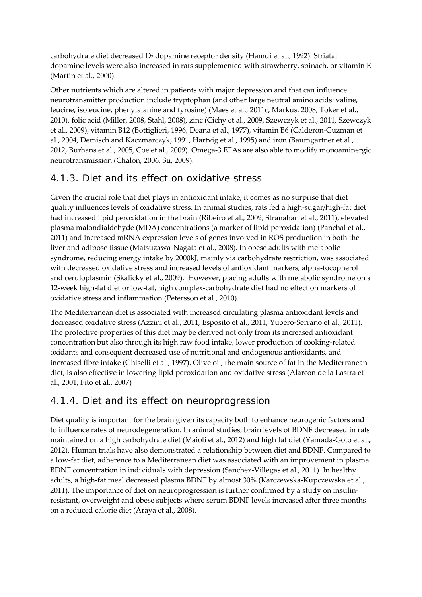carbohydrate diet decreased D2 dopamine receptor density [\(Hamdi et al., 1992\)](#page-22-13). Striatal dopamine levels were also increased in rats supplemented with strawberry, spinach, or vitamin E [\(Martin et al., 2000\)](#page-25-9).

Other nutrients which are altered in patients with major depression and that can influence neurotransmitter production include tryptophan (and other large neutral amino acids: valine, leucine, isoleucine, phenylalanine and tyrosine) [\(Maes et al., 2011c,](#page-24-11) [Markus, 2008,](#page-24-16) [Toker et al.,](#page-29-0)  [2010\)](#page-29-0), folic acid [\(Miller, 2008,](#page-25-10) [Stahl, 2008\)](#page-28-9), zinc [\(Cichy et al., 2009,](#page-19-8) [Szewczyk et al., 2011,](#page-29-1) [Szewczyk](#page-29-6)  [et al., 2009\)](#page-29-6), vitamin B12 [\(Bottiglieri, 1996,](#page-18-5) [Deana et al., 1977\)](#page-20-12), vitamin B6 [\(Calderon-Guzman et](#page-19-9)  [al., 2004,](#page-19-9) [Demisch and Kaczmarczyk, 1991,](#page-20-13) [Hartvig et al., 1995\)](#page-22-14) and iron [\(Baumgartner et al.,](#page-18-6)  [2012,](#page-18-6) [Burhans et al., 2005,](#page-19-10) [Coe et al., 2009\)](#page-19-11). Omega-3 EFAs are also able to modify monoaminergic neurotransmission [\(Chalon, 2006,](#page-19-12) [Su, 2009\)](#page-29-7).

## 4.1.3. Diet and its effect on oxidative stress

Given the crucial role that diet plays in antioxidant intake, it comes as no surprise that diet quality influences levels of oxidative stress. In animal studies, rats fed a high-sugar/high-fat diet had increased lipid peroxidation in the brain [\(Ribeiro et al., 2009,](#page-27-6) [Stranahan et al., 2011\)](#page-28-10), elevated plasma malondialdehyde (MDA) concentrations (a marker of lipid peroxidation) [\(Panchal et al.,](#page-26-9)  [2011\)](#page-26-9) and increased mRNA expression levels of genes involved in ROS production in both the liver and adipose tissue [\(Matsuzawa-Nagata et al., 2008\)](#page-25-11). In obese adults with metabolic syndrome, reducing energy intake by 2000kJ, mainly via carbohydrate restriction, was associated with decreased oxidative stress and increased levels of antioxidant markers, alpha-tocopherol and ceruloplasmin [\(Skalicky et al., 2009\)](#page-28-11). However, placing adults with metabolic syndrome on a 12-week high-fat diet or low-fat, high complex-carbohydrate diet had no effect on markers of oxidative stress and inflammation [\(Petersson et al., 2010\)](#page-27-7).

The Mediterranean diet is associated with increased circulating plasma antioxidant levels and decreased oxidative stress [\(Azzini et al., 2011,](#page-18-7) [Esposito et al., 2011,](#page-20-14) [Yubero-Serrano et al., 2011\)](#page-30-7). The protective properties of this diet may be derived not only from its increased antioxidant concentration but also through its high raw food intake, lower production of cooking-related oxidants and consequent decreased use of nutritional and endogenous antioxidants, and increased fibre intake [\(Ghiselli et al., 1997\)](#page-21-10). Olive oil, the main source of fat in the Mediterranean diet, is also effective in lowering lipid peroxidation and oxidative stress [\(Alarcon de la Lastra et](#page-18-8)  [al., 2001,](#page-18-8) [Fito et al., 2007\)](#page-21-11)

#### 4.1.4. Diet and its effect on neuroprogression

Diet quality is important for the brain given its capacity both to enhance neurogenic factors and to influence rates of neurodegeneration. In animal studies, brain levels of BDNF decreased in rats maintained on a high carbohydrate diet [\(Maioli et al., 2012\)](#page-24-17) and high fat diet [\(Yamada-Goto et al.,](#page-30-8)  [2012\)](#page-30-8). Human trials have also demonstrated a relationship between diet and BDNF. Compared to a low-fat diet, adherence to a Mediterranean diet was associated with an improvement in plasma BDNF concentration in individuals with depression [\(Sanchez-Villegas et al., 2011\)](#page-28-12). In healthy adults, a high-fat meal decreased plasma BDNF by almost 30% [\(Karczewska-Kupczewska et al.,](#page-22-15)  [2011\)](#page-22-15). The importance of diet on neuroprogression is further confirmed by a study on insulinresistant, overweight and obese subjects where serum BDNF levels increased after three months on a reduced calorie diet [\(Araya et al., 2008\)](#page-18-9).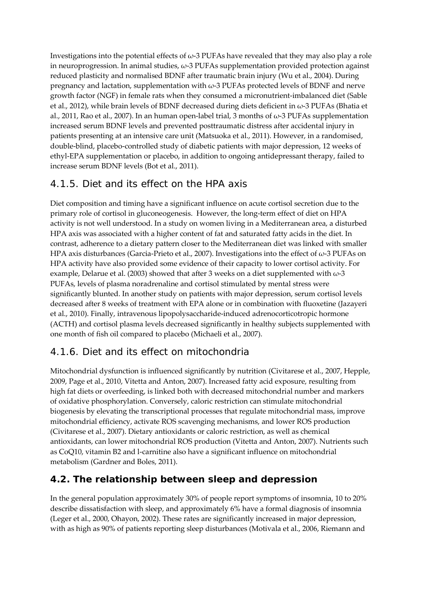Investigations into the potential effects of  $\omega$ -3 PUFAs have revealed that they may also play a role in neuroprogression. In animal studies, ω-3 PUFAs supplementation provided protection against reduced plasticity and normalised BDNF after traumatic brain injury [\(Wu et al., 2004\)](#page-30-9). During pregnancy and lactation, supplementation with  $\omega$ -3 PUFAs protected levels of BDNF and nerve growth factor (NGF) in female rats when they consumed a micronutrient-imbalanced diet [\(Sable](#page-28-13)  [et al., 2012\)](#page-28-13), while brain levels of BDNF decreased during diets deficient in ω-3 PUFAs [\(Bhatia et](#page-18-10)  [al., 2011,](#page-18-10) [Rao et al., 2007\)](#page-27-8). In an human open-label trial, 3 months of  $\omega$ -3 PUFAs supplementation increased serum BDNF levels and prevented posttraumatic distress after accidental injury in patients presenting at an intensive care unit [\(Matsuoka et al., 2011\)](#page-25-12). However, in a randomised, double-blind, placebo-controlled study of diabetic patients with major depression, 12 weeks of ethyl-EPA supplementation or placebo, in addition to ongoing antidepressant therapy, failed to increase serum BDNF levels [\(Bot et al., 2011\)](#page-18-11).

## 4.1.5. Diet and its effect on the HPA axis

Diet composition and timing have a significant influence on acute cortisol secretion due to the primary role of cortisol in gluconeogenesis. However, the long-term effect of diet on HPA activity is not well understood. In a study on women living in a Mediterranean area, a disturbed HPA axis was associated with a higher content of fat and saturated fatty acids in the diet. In contrast, adherence to a dietary pattern closer to the Mediterranean diet was linked with smaller HPA axis disturbances [\(Garcia-Prieto et al., 2007\)](#page-21-12). Investigations into the effect of  $\omega$ -3 PUFAs on HPA activity have also provided some evidence of their capacity to lower cortisol activity. For example, Delarue et al. [\(2003\)](#page-20-15) showed that after 3 weeks on a diet supplemented with  $\omega$ -3 PUFAs, levels of plasma noradrenaline and cortisol stimulated by mental stress were significantly blunted. In another study on patients with major depression, serum cortisol levels decreased after 8 weeks of treatment with EPA alone or in combination with fluoxetine [\(Jazayeri](#page-22-16)  [et al., 2010\)](#page-22-16). Finally, intravenous lipopolysaccharide-induced adrenocorticotropic hormone (ACTH) and cortisol plasma levels decreased significantly in healthy subjects supplemented with one month of fish oil compared to placebo [\(Michaeli et al., 2007\)](#page-25-13).

# 4.1.6. Diet and its effect on mitochondria

Mitochondrial dysfunction is influenced significantly by nutrition [\(Civitarese et al., 2007,](#page-19-13) [Hepple,](#page-22-17)  [2009,](#page-22-17) [Page et al., 2010,](#page-26-10) [Vitetta and Anton, 2007\)](#page-30-10). Increased fatty acid exposure, resulting from high fat diets or overfeeding, is linked both with decreased mitochondrial number and markers of oxidative phosphorylation. Conversely, caloric restriction can stimulate mitochondrial biogenesis by elevating the transcriptional processes that regulate mitochondrial mass, improve mitochondrial efficiency, activate ROS scavenging mechanisms, and lower ROS production [\(Civitarese et al., 2007\)](#page-19-13). Dietary antioxidants or caloric restriction, as well as chemical antioxidants, can lower mitochondrial ROS production [\(Vitetta and Anton, 2007\)](#page-30-10). Nutrients such as CoQ10, vitamin B2 and l-carnitine also have a significant influence on mitochondrial metabolism [\(Gardner and Boles, 2011\)](#page-21-13).

#### **4.2. The relationship between sleep and depression**

In the general population approximately 30% of people report symptoms of insomnia, 10 to 20% describe dissatisfaction with sleep, and approximately 6% have a formal diagnosis of insomnia [\(Leger et al., 2000,](#page-23-9) [Ohayon, 2002\)](#page-26-11). These rates are significantly increased in major depression, with as high as 90% of patients reporting sleep disturbances [\(Motivala et al., 2006,](#page-26-12) [Riemann and](#page-27-9)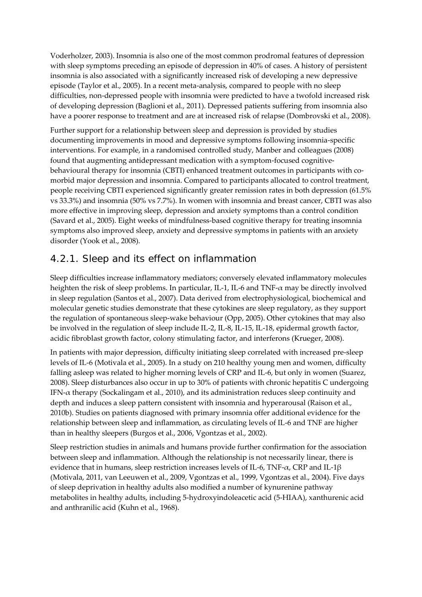Voderholzer, 2003). Insomnia is also one of the most common prodromal features of depression with sleep symptoms preceding an episode of depression in 40% of cases. A history of persistent insomnia is also associated with a significantly increased risk of developing a new depressive episode [\(Taylor et al., 2005\)](#page-29-8). In a recent meta-analysis, compared to people with no sleep difficulties, non-depressed people with insomnia were predicted to have a twofold increased risk of developing depression [\(Baglioni et al., 2011\)](#page-18-12). Depressed patients suffering from insomnia also have a poorer response to treatment and are at increased risk of relapse [\(Dombrovski et al., 2008\)](#page-20-16).

Further support for a relationship between sleep and depression is provided by studies documenting improvements in mood and depressive symptoms following insomnia-specific interventions. For example, in a randomised controlled study, Manber and colleagues [\(2008\)](#page-24-18) found that augmenting antidepressant medication with a symptom-focused cognitivebehavioural therapy for insomnia (CBTI) enhanced treatment outcomes in participants with comorbid major depression and insomnia. Compared to participants allocated to control treatment, people receiving CBTI experienced significantly greater remission rates in both depression (61.5% vs 33.3%) and insomnia (50% vs 7.7%). In women with insomnia and breast cancer, CBTI was also more effective in improving sleep, depression and anxiety symptoms than a control condition [\(Savard et al., 2005\)](#page-28-14). Eight weeks of mindfulness-based cognitive therapy for treating insomnia symptoms also improved sleep, anxiety and depressive symptoms in patients with an anxiety disorder [\(Yook et al., 2008\)](#page-30-11).

## 4.2.1. Sleep and its effect on inflammation

Sleep difficulties increase inflammatory mediators; conversely elevated inflammatory molecules heighten the risk of sleep problems. In particular, IL-1, IL-6 and TNF- $\alpha$  may be directly involved in sleep regulation [\(Santos et al., 2007\)](#page-28-15). Data derived from electrophysiological, biochemical and molecular genetic studies demonstrate that these cytokines are sleep regulatory, as they support the regulation of spontaneous sleep-wake behaviour [\(Opp, 2005\)](#page-26-13). Other cytokines that may also be involved in the regulation of sleep include IL-2, IL-8, IL-15, IL-18, epidermal growth factor, acidic fibroblast growth factor, colony stimulating factor, and interferons [\(Krueger, 2008\)](#page-23-10).

In patients with major depression, difficulty initiating sleep correlated with increased pre-sleep levels of IL-6 [\(Motivala et al., 2005\)](#page-26-14). In a study on 210 healthy young men and women, difficulty falling asleep was related to higher morning levels of CRP and IL-6, but only in women [\(Suarez,](#page-29-9)  [2008\)](#page-29-9). Sleep disturbances also occur in up to 30% of patients with chronic hepatitis C undergoing IFN-α therapy [\(Sockalingam et al., 2010\)](#page-28-16), and its administration reduces sleep continuity and depth and induces a sleep pattern consistent with insomnia and hyperarousal [\(Raison et al.,](#page-27-10)  [2010b\)](#page-27-10). Studies on patients diagnosed with primary insomnia offer additional evidence for the relationship between sleep and inflammation, as circulating levels of IL-6 and TNF are higher than in healthy sleepers [\(Burgos et al., 2006,](#page-19-14) [Vgontzas et al., 2002\)](#page-30-12).

Sleep restriction studies in animals and humans provide further confirmation for the association between sleep and inflammation. Although the relationship is not necessarily linear, there is evidence that in humans, sleep restriction increases levels of IL-6, TNF- $\alpha$ , CRP and IL-1 $\beta$ [\(Motivala, 2011,](#page-26-15) [van Leeuwen et al., 2009,](#page-29-10) [Vgontzas et al., 1999,](#page-29-11) [Vgontzas et al., 2004\)](#page-30-13). Five days of sleep deprivation in healthy adults also modified a number of kynurenine pathway metabolites in healthy adults, including 5-hydroxyindoleacetic acid (5-HIAA), xanthurenic acid and anthranilic acid [\(Kuhn et al., 1968\)](#page-23-11).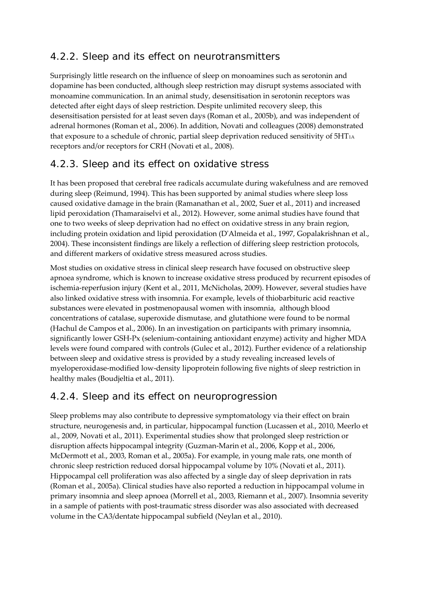## 4.2.2. Sleep and its effect on neurotransmitters

Surprisingly little research on the influence of sleep on monoamines such as serotonin and dopamine has been conducted, although sleep restriction may disrupt systems associated with monoamine communication. In an animal study, desensitisation in serotonin receptors was detected after eight days of sleep restriction. Despite unlimited recovery sleep, this desensitisation persisted for at least seven days [\(Roman et al., 2005b\)](#page-28-17), and was independent of adrenal hormones [\(Roman et al., 2006\)](#page-27-11). In addition, Novati and colleagues [\(2008\)](#page-26-16) demonstrated that exposure to a schedule of chronic, partial sleep deprivation reduced sensitivity of 5HT1A receptors and/or receptors for CRH [\(Novati et al., 2008\)](#page-26-16).

#### 4.2.3. Sleep and its effect on oxidative stress

It has been proposed that cerebral free radicals accumulate during wakefulness and are removed during sleep [\(Reimund, 1994\)](#page-27-12). This has been supported by animal studies where sleep loss caused oxidative damage in the brain [\(Ramanathan et al., 2002,](#page-27-13) [Suer et al., 2011\)](#page-29-12) and increased lipid peroxidation [\(Thamaraiselvi et al., 2012\)](#page-29-13). However, some animal studies have found that one to two weeks of sleep deprivation had no effect on oxidative stress in any brain region, including protein oxidation and lipid peroxidation [\(D'Almeida et al., 1997,](#page-20-17) [Gopalakrishnan et al.,](#page-21-14)  [2004\)](#page-21-14). These inconsistent findings are likely a reflection of differing sleep restriction protocols, and different markers of oxidative stress measured across studies.

Most studies on oxidative stress in clinical sleep research have focused on obstructive sleep apnoea syndrome, which is known to increase oxidative stress produced by recurrent episodes of ischemia-reperfusion injury [\(Kent et al., 2011,](#page-22-18) [McNicholas, 2009\)](#page-25-14). However, several studies have also linked oxidative stress with insomnia. For example, levels of thiobarbituric acid reactive substances were elevated in postmenopausal women with insomnia, although blood concentrations of catalase, superoxide dismutase, and glutathione were found to be normal [\(Hachul de Campos et al., 2006\)](#page-22-19). In an investigation on participants with primary insomnia, significantly lower GSH-Px (selenium-containing antioxidant enzyme) activity and higher MDA levels were found compared with controls [\(Gulec et al., 2012\)](#page-21-15). Further evidence of a relationship between sleep and oxidative stress is provided by a study revealing increased levels of myeloperoxidase-modified low-density lipoprotein following five nights of sleep restriction in healthy males [\(Boudjeltia et al., 2011\)](#page-18-13).

#### 4.2.4. Sleep and its effect on neuroprogression

Sleep problems may also contribute to depressive symptomatology via their effect on brain structure, neurogenesis and, in particular, hippocampal function [\(Lucassen et al., 2010,](#page-23-12) [Meerlo et](#page-25-15)  [al., 2009,](#page-25-15) [Novati et al., 2011\)](#page-26-17). Experimental studies show that prolonged sleep restriction or disruption affects hippocampal integrity [\(Guzman-Marin et al., 2006,](#page-21-16) [Kopp et al., 2006,](#page-23-13) [McDermott et al., 2003,](#page-25-16) [Roman et al., 2005a\)](#page-27-14). For example, in young male rats, one month of chronic sleep restriction reduced dorsal hippocampal volume by 10% [\(Novati et al., 2011\)](#page-26-17). Hippocampal cell proliferation was also affected by a single day of sleep deprivation in rats [\(Roman et al., 2005a\)](#page-27-14). Clinical studies have also reported a reduction in hippocampal volume in primary insomnia and sleep apnoea [\(Morrell et al., 2003,](#page-26-18) [Riemann et al., 2007\)](#page-27-15). Insomnia severity in a sample of patients with post-traumatic stress disorder was also associated with decreased volume in the CA3/dentate hippocampal subfield [\(Neylan et al., 2010\)](#page-26-19).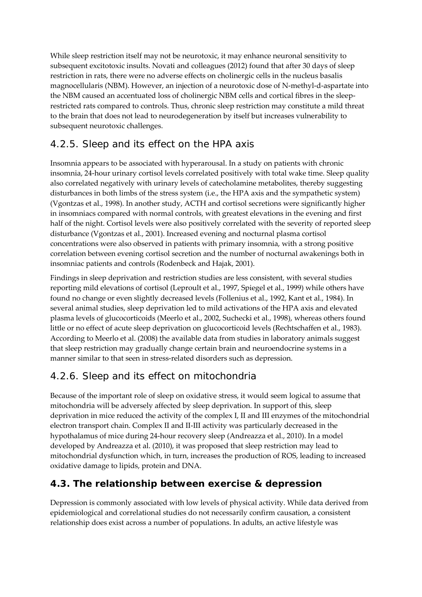While sleep restriction itself may not be neurotoxic, it may enhance neuronal sensitivity to subsequent excitotoxic insults. Novati and colleagues [\(2012\)](#page-26-20) found that after 30 days of sleep restriction in rats, there were no adverse effects on cholinergic cells in the nucleus basalis magnocellularis (NBM). However, an injection of a neurotoxic dose of N-methyl-d-aspartate into the NBM caused an accentuated loss of cholinergic NBM cells and cortical fibres in the sleeprestricted rats compared to controls. Thus, chronic sleep restriction may constitute a mild threat to the brain that does not lead to neurodegeneration by itself but increases vulnerability to subsequent neurotoxic challenges.

# 4.2.5. Sleep and its effect on the HPA axis

Insomnia appears to be associated with hyperarousal. In a study on patients with chronic insomnia, 24-hour urinary cortisol levels correlated positively with total wake time. Sleep quality also correlated negatively with urinary levels of catecholamine metabolites, thereby suggesting disturbances in both limbs of the stress system (i.e., the HPA axis and the sympathetic system) [\(Vgontzas et al., 1998\)](#page-30-14). In another study, ACTH and cortisol secretions were significantly higher in insomniacs compared with normal controls, with greatest elevations in the evening and first half of the night. Cortisol levels were also positively correlated with the severity of reported sleep disturbance [\(Vgontzas et al., 2001\)](#page-29-14). Increased evening and nocturnal plasma cortisol concentrations were also observed in patients with primary insomnia, with a strong positive correlation between evening cortisol secretion and the number of nocturnal awakenings both in insomniac patients and controls [\(Rodenbeck and Hajak, 2001\)](#page-27-16).

Findings in sleep deprivation and restriction studies are less consistent, with several studies reporting mild elevations of cortisol [\(Leproult et al., 1997,](#page-23-14) [Spiegel et al., 1999\)](#page-28-18) while others have found no change or even slightly decreased levels [\(Follenius et al., 1992,](#page-21-17) [Kant et al., 1984\)](#page-22-20). In several animal studies, sleep deprivation led to mild activations of the HPA axis and elevated plasma levels of glucocorticoids [\(Meerlo et al., 2002,](#page-25-17) [Suchecki et al., 1998\)](#page-29-15), whereas others found little or no effect of acute sleep deprivation on glucocorticoid levels [\(Rechtschaffen et al., 1983\)](#page-27-17). According to Meerlo et al. [\(2008\)](#page-25-18) the available data from studies in laboratory animals suggest that sleep restriction may gradually change certain brain and neuroendocrine systems in a manner similar to that seen in stress-related disorders such as depression.

# 4.2.6. Sleep and its effect on mitochondria

Because of the important role of sleep on oxidative stress, it would seem logical to assume that mitochondria will be adversely affected by sleep deprivation. In support of this, sleep deprivation in mice reduced the activity of the complex I, II and III enzymes of the mitochondrial electron transport chain. Complex II and II-III activity was particularly decreased in the hypothalamus of mice during 24-hour recovery sleep [\(Andreazza et al., 2010\)](#page-18-14). In a model developed by Andreazza et al. [\(2010\)](#page-18-14), it was proposed that sleep restriction may lead to mitochondrial dysfunction which, in turn, increases the production of ROS, leading to increased oxidative damage to lipids, protein and DNA.

# **4.3. The relationship between exercise & depression**

Depression is commonly associated with low levels of physical activity. While data derived from epidemiological and correlational studies do not necessarily confirm causation, a consistent relationship does exist across a number of populations. In adults, an active lifestyle was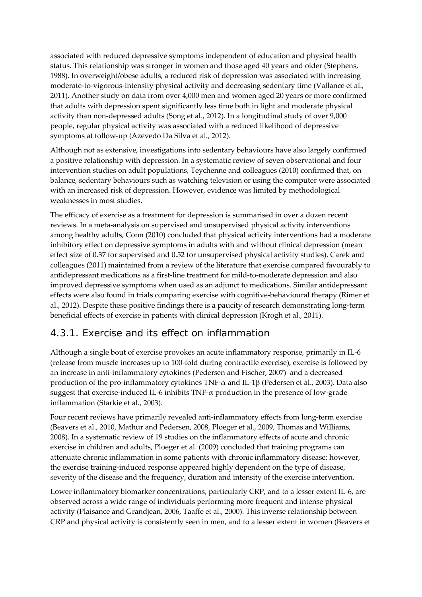associated with reduced depressive symptoms independent of education and physical health status. This relationship was stronger in women and those aged 40 years and older [\(Stephens,](#page-28-19)  [1988\)](#page-28-19). In overweight/obese adults, a reduced risk of depression was associated with increasing moderate-to-vigorous-intensity physical activity and decreasing sedentary time [\(Vallance et al.,](#page-29-16)  [2011\)](#page-29-16). Another study on data from over 4,000 men and women aged 20 years or more confirmed that adults with depression spent significantly less time both in light and moderate physical activity than non-depressed adults [\(Song et al., 2012\)](#page-28-20). In a longitudinal study of over 9,000 people, regular physical activity was associated with a reduced likelihood of depressive symptoms at follow-up [\(Azevedo Da Silva et al., 2012\)](#page-18-15).

Although not as extensive, investigations into sedentary behaviours have also largely confirmed a positive relationship with depression. In a systematic review of seven observational and four intervention studies on adult populations, Teychenne and colleagues [\(2010\)](#page-29-17) confirmed that, on balance, sedentary behaviours such as watching television or using the computer were associated with an increased risk of depression. However, evidence was limited by methodological weaknesses in most studies.

The efficacy of exercise as a treatment for depression is summarised in over a dozen recent reviews. In a meta-analysis on supervised and unsupervised physical activity interventions among healthy adults, Conn [\(2010\)](#page-20-18) concluded that physical activity interventions had a moderate inhibitory effect on depressive symptoms in adults with and without clinical depression (mean effect size of 0.37 for supervised and 0.52 for unsupervised physical activity studies). Carek and colleagues [\(2011\)](#page-19-15) maintained from a review of the literature that exercise compared favourably to antidepressant medications as a first-line treatment for mild-to-moderate depression and also improved depressive symptoms when used as an adjunct to medications. Similar antidepressant effects were also found in trials comparing exercise with cognitive-behavioural therapy [\(Rimer et](#page-27-18)  [al., 2012\)](#page-27-18). Despite these positive findings there is a paucity of research demonstrating long-term beneficial effects of exercise in patients with clinical depression [\(Krogh et al., 2011\)](#page-23-15).

#### 4.3.1. Exercise and its effect on inflammation

Although a single bout of exercise provokes an acute inflammatory response, primarily in IL-6 (release from muscle increases up to 100-fold during contractile exercise), exercise is followed by an increase in anti-inflammatory cytokines [\(Pedersen and Fischer, 2007\)](#page-26-21) and a decreased production of the pro-inflammatory cytokines TNF-α and IL-1β [\(Pedersen et al., 2003\)](#page-27-19). Data also suggest that exercise-induced IL-6 inhibits  $TNF-\alpha$  production in the presence of low-grade inflammation [\(Starkie et al., 2003\)](#page-28-21).

Four recent reviews have primarily revealed anti-inflammatory effects from long-term exercise [\(Beavers et al., 2010,](#page-18-16) [Mathur and Pedersen, 2008,](#page-25-19) [Ploeger et al., 2009,](#page-27-20) [Thomas and Williams,](#page-29-18)  [2008\)](#page-29-18). In a systematic review of 19 studies on the inflammatory effects of acute and chronic exercise in children and adults, Ploeger et al. [\(2009\)](#page-27-20) concluded that training programs can attenuate chronic inflammation in some patients with chronic inflammatory disease; however, the exercise training-induced response appeared highly dependent on the type of disease, severity of the disease and the frequency, duration and intensity of the exercise intervention.

Lower inflammatory biomarker concentrations, particularly CRP, and to a lesser extent IL-6, are observed across a wide range of individuals performing more frequent and intense physical activity [\(Plaisance and Grandjean, 2006,](#page-27-21) [Taaffe et al., 2000\)](#page-29-19). This inverse relationship between CRP and physical activity is consistently seen in men, and to a lesser extent in women [\(Beavers et](#page-18-16)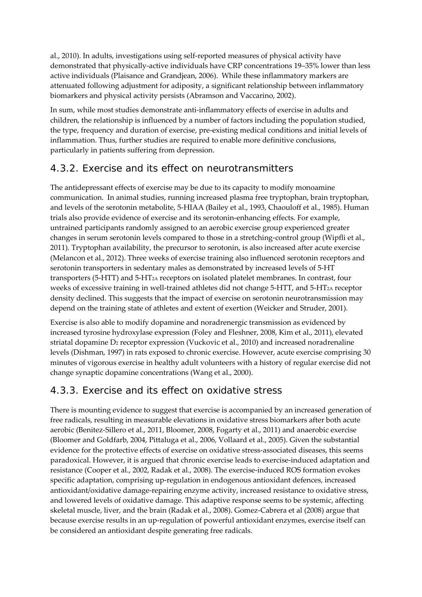al., 2010). In adults, investigations using self-reported measures of physical activity have demonstrated that physically-active individuals have CRP concentrations 19–35% lower than less active individuals [\(Plaisance and Grandjean, 2006\)](#page-27-21). While these inflammatory markers are attenuated following adjustment for adiposity, a significant relationship between inflammatory biomarkers and physical activity persists [\(Abramson and Vaccarino, 2002\)](#page-18-17).

In sum, while most studies demonstrate anti-inflammatory effects of exercise in adults and children, the relationship is influenced by a number of factors including the population studied, the type, frequency and duration of exercise, pre-existing medical conditions and initial levels of inflammation. Thus, further studies are required to enable more definitive conclusions, particularly in patients suffering from depression.

## 4.3.2. Exercise and its effect on neurotransmitters

The antidepressant effects of exercise may be due to its capacity to modify monoamine communication. In animal studies, running increased plasma free tryptophan, brain tryptophan, and levels of the serotonin metabolite, 5-HIAA [\(Bailey et al., 1993,](#page-18-18) [Chaouloff et al., 1985\)](#page-19-16). Human trials also provide evidence of exercise and its serotonin-enhancing effects. For example, untrained participants randomly assigned to an aerobic exercise group experienced greater changes in serum serotonin levels compared to those in a stretching-control group [\(Wipfli et al.,](#page-30-15)  [2011\)](#page-30-15). Tryptophan availability, the precursor to serotonin, is also increased after acute exercise [\(Melancon et al., 2012\)](#page-25-20). Three weeks of exercise training also influenced serotonin receptors and serotonin transporters in sedentary males as demonstrated by increased levels of 5-HT transporters (5-HTT) and 5-HT2A receptors on isolated platelet membranes. In contrast, four weeks of excessive training in well-trained athletes did not change 5-HTT, and 5-HT2A receptor density declined. This suggests that the impact of exercise on serotonin neurotransmission may depend on the training state of athletes and extent of exertion [\(Weicker and Struder, 2001\)](#page-30-16).

Exercise is also able to modify dopamine and noradrenergic transmission as evidenced by increased tyrosine hydroxylase expression [\(Foley and Fleshner, 2008,](#page-21-18) [Kim et al., 2011\)](#page-23-16), elevated striatal dopamine D<sub>2</sub> receptor expression [\(Vuckovic et al., 2010\)](#page-30-17) and increased noradrenaline levels [\(Dishman, 1997\)](#page-20-19) in rats exposed to chronic exercise. However, acute exercise comprising 30 minutes of vigorous exercise in healthy adult volunteers with a history of regular exercise did not change synaptic dopamine concentrations [\(Wang et al., 2000\)](#page-30-18).

#### 4.3.3. Exercise and its effect on oxidative stress

There is mounting evidence to suggest that exercise is accompanied by an increased generation of free radicals, resulting in measurable elevations in oxidative stress biomarkers after both acute aerobic [\(Benitez-Sillero et al., 2011,](#page-18-19) [Bloomer, 2008,](#page-18-20) [Fogarty et al., 2011\)](#page-21-19) and anaerobic exercise [\(Bloomer and Goldfarb, 2004,](#page-18-21) [Pittaluga et al., 2006,](#page-27-22) [Vollaard et al., 2005\)](#page-30-19). Given the substantial evidence for the protective effects of exercise on oxidative stress-associated diseases, this seems paradoxical. However, it is argued that chronic exercise leads to exercise-induced adaptation and resistance [\(Cooper et al., 2002,](#page-20-20) [Radak et al., 2008\)](#page-27-23). The exercise-induced ROS formation evokes specific adaptation, comprising up-regulation in endogenous antioxidant defences, increased antioxidant/oxidative damage-repairing enzyme activity, increased resistance to oxidative stress, and lowered levels of oxidative damage. This adaptive response seems to be systemic, affecting skeletal muscle, liver, and the brain [\(Radak et al., 2008\)](#page-27-23). Gomez-Cabrera et al [\(2008\)](#page-21-20) argue that because exercise results in an up-regulation of powerful antioxidant enzymes, exercise itself can be considered an antioxidant despite generating free radicals.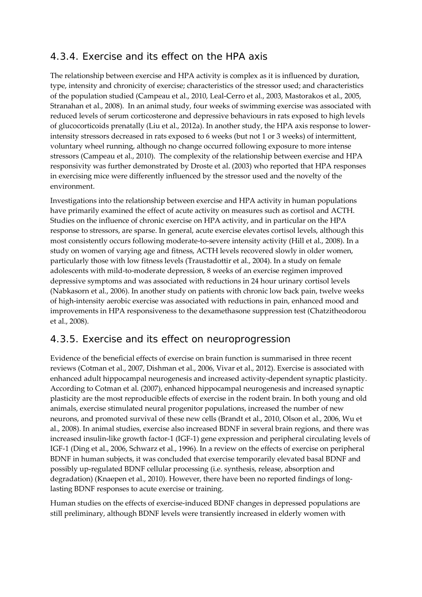#### 4.3.4. Exercise and its effect on the HPA axis

The relationship between exercise and HPA activity is complex as it is influenced by duration, type, intensity and chronicity of exercise; characteristics of the stressor used; and characteristics of the population studied [\(Campeau et al., 2010,](#page-19-17) [Leal-Cerro et al., 2003,](#page-23-17) [Mastorakos et al., 2005,](#page-25-21) [Stranahan et al., 2008\)](#page-29-20). In an animal study, four weeks of swimming exercise was associated with reduced levels of serum corticosterone and depressive behaviours in rats exposed to high levels of glucocorticoids prenatally [\(Liu et al., 2012a\)](#page-23-18). In another study, the HPA axis response to lowerintensity stressors decreased in rats exposed to 6 weeks (but not 1 or 3 weeks) of intermittent, voluntary wheel running, although no change occurred following exposure to more intense stressors [\(Campeau et al., 2010\)](#page-19-17). The complexity of the relationship between exercise and HPA responsivity was further demonstrated by Droste et al. [\(2003\)](#page-20-21) who reported that HPA responses in exercising mice were differently influenced by the stressor used and the novelty of the environment.

Investigations into the relationship between exercise and HPA activity in human populations have primarily examined the effect of acute activity on measures such as cortisol and ACTH. Studies on the influence of chronic exercise on HPA activity, and in particular on the HPA response to stressors, are sparse. In general, acute exercise elevates cortisol levels, although this most consistently occurs following moderate-to-severe intensity activity [\(Hill et al., 2008\)](#page-22-21). In a study on women of varying age and fitness, ACTH levels recovered slowly in older women, particularly those with low fitness levels [\(Traustadottir et al., 2004\)](#page-29-21). In a study on female adolescents with mild-to-moderate depression, 8 weeks of an exercise regimen improved depressive symptoms and was associated with reductions in 24 hour urinary cortisol levels [\(Nabkasorn et al., 2006\)](#page-26-22). In another study on patients with chronic low back pain, twelve weeks of high-intensity aerobic exercise was associated with reductions in pain, enhanced mood and improvements in HPA responsiveness to the dexamethasone suppression test [\(Chatzitheodorou](#page-19-18)  [et al., 2008\)](#page-19-18).

#### 4.3.5. Exercise and its effect on neuroprogression

Evidence of the beneficial effects of exercise on brain function is summarised in three recent reviews [\(Cotman et al., 2007,](#page-20-22) [Dishman et al., 2006,](#page-20-23) [Vivar et al., 2012\)](#page-30-20). Exercise is associated with enhanced adult hippocampal neurogenesis and increased activity-dependent synaptic plasticity. According to Cotman et al. [\(2007\)](#page-20-22), enhanced hippocampal neurogenesis and increased synaptic plasticity are the most reproducible effects of exercise in the rodent brain. In both young and old animals, exercise stimulated neural progenitor populations, increased the number of new neurons, and promoted survival of these new cells [\(Brandt et al., 2010,](#page-19-19) [Olson et al., 2006,](#page-26-23) [Wu et](#page-30-21)  [al., 2008\)](#page-30-21). In animal studies, exercise also increased BDNF in several brain regions, and there was increased insulin-like growth factor-1 (IGF-1) gene expression and peripheral circulating levels of IGF-1 [\(Ding et al., 2006,](#page-20-24) [Schwarz et al., 1996\)](#page-28-22). In a review on the effects of exercise on peripheral BDNF in human subjects, it was concluded that exercise temporarily elevated basal BDNF and possibly up-regulated BDNF cellular processing (i.e. synthesis, release, absorption and degradation) [\(Knaepen et al., 2010\)](#page-23-19). However, there have been no reported findings of longlasting BDNF responses to acute exercise or training.

Human studies on the effects of exercise-induced BDNF changes in depressed populations are still preliminary, although BDNF levels were transiently increased in elderly women with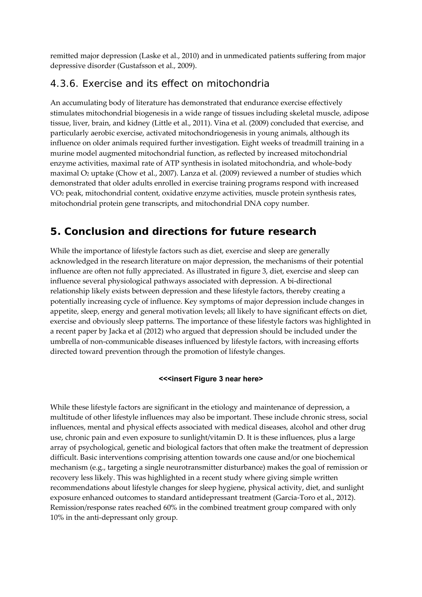remitted major depression [\(Laske et al., 2010\)](#page-23-20) and in unmedicated patients suffering from major depressive disorder [\(Gustafsson et al., 2009\)](#page-21-21).

#### 4.3.6. Exercise and its effect on mitochondria

An accumulating body of literature has demonstrated that endurance exercise effectively stimulates mitochondrial biogenesis in a wide range of tissues including skeletal muscle, adipose tissue, liver, brain, and kidney [\(Little et al., 2011\)](#page-23-21). Vina et al. [\(2009\)](#page-30-22) concluded that exercise, and particularly aerobic exercise, activated mitochondriogenesis in young animals, although its influence on older animals required further investigation. Eight weeks of treadmill training in a murine model augmented mitochondrial function, as reflected by increased mitochondrial enzyme activities, maximal rate of ATP synthesis in isolated mitochondria, and whole-body maximal O2 uptake [\(Chow et al., 2007\)](#page-19-20). Lanza et al. [\(2009\)](#page-23-22) reviewed a number of studies which demonstrated that older adults enrolled in exercise training programs respond with increased VO2 peak, mitochondrial content, oxidative enzyme activities, muscle protein synthesis rates, mitochondrial protein gene transcripts, and mitochondrial DNA copy number.

# **5. Conclusion and directions for future research**

While the importance of lifestyle factors such as diet, exercise and sleep are generally acknowledged in the research literature on major depression, the mechanisms of their potential influence are often not fully appreciated. As illustrated in figure 3, diet, exercise and sleep can influence several physiological pathways associated with depression. A bi-directional relationship likely exists between depression and these lifestyle factors, thereby creating a potentially increasing cycle of influence. Key symptoms of major depression include changes in appetite, sleep, energy and general motivation levels; all likely to have significant effects on diet, exercise and obviously sleep patterns. The importance of these lifestyle factors was highlighted in a recent paper by Jacka et al [\(2012\)](#page-22-22) who argued that depression should be included under the umbrella of non-communicable diseases influenced by lifestyle factors, with increasing efforts directed toward prevention through the promotion of lifestyle changes.

#### **<<<insert Figure 3 near here>**

While these lifestyle factors are significant in the etiology and maintenance of depression, a multitude of other lifestyle influences may also be important. These include chronic stress, social influences, mental and physical effects associated with medical diseases, alcohol and other drug use, chronic pain and even exposure to sunlight/vitamin D. It is these influences, plus a large array of psychological, genetic and biological factors that often make the treatment of depression difficult. Basic interventions comprising attention towards one cause and/or one biochemical mechanism (e.g., targeting a single neurotransmitter disturbance) makes the goal of remission or recovery less likely. This was highlighted in a recent study where giving simple written recommendations about lifestyle changes for sleep hygiene, physical activity, diet, and sunlight exposure enhanced outcomes to standard antidepressant treatment [\(Garcia-Toro et al., 2012\)](#page-21-22). Remission/response rates reached 60% in the combined treatment group compared with only 10% in the anti-depressant only group.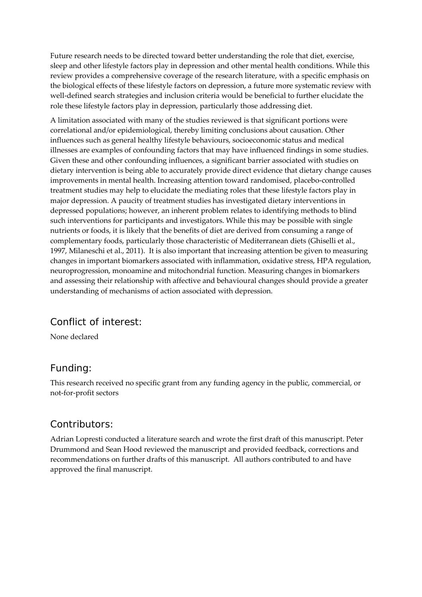Future research needs to be directed toward better understanding the role that diet, exercise, sleep and other lifestyle factors play in depression and other mental health conditions. While this review provides a comprehensive coverage of the research literature, with a specific emphasis on the biological effects of these lifestyle factors on depression, a future more systematic review with well-defined search strategies and inclusion criteria would be beneficial to further elucidate the role these lifestyle factors play in depression, particularly those addressing diet.

A limitation associated with many of the studies reviewed is that significant portions were correlational and/or epidemiological, thereby limiting conclusions about causation. Other influences such as general healthy lifestyle behaviours, socioeconomic status and medical illnesses are examples of confounding factors that may have influenced findings in some studies. Given these and other confounding influences, a significant barrier associated with studies on dietary intervention is being able to accurately provide direct evidence that dietary change causes improvements in mental health. Increasing attention toward randomised, placebo-controlled treatment studies may help to elucidate the mediating roles that these lifestyle factors play in major depression. A paucity of treatment studies has investigated dietary interventions in depressed populations; however, an inherent problem relates to identifying methods to blind such interventions for participants and investigators. While this may be possible with single nutrients or foods, it is likely that the benefits of diet are derived from consuming a range of complementary foods, particularly those characteristic of Mediterranean diets [\(Ghiselli et al.,](#page-21-10)  [1997,](#page-21-10) [Milaneschi et al., 2011\)](#page-25-22). It is also important that increasing attention be given to measuring changes in important biomarkers associated with inflammation, oxidative stress, HPA regulation, neuroprogression, monoamine and mitochondrial function. Measuring changes in biomarkers and assessing their relationship with affective and behavioural changes should provide a greater understanding of mechanisms of action associated with depression.

#### Conflict of interest:

None declared

#### Funding:

This research received no specific grant from any funding agency in the public, commercial, or not-for-profit sectors

#### Contributors:

Adrian Lopresti conducted a literature search and wrote the first draft of this manuscript. Peter Drummond and Sean Hood reviewed the manuscript and provided feedback, corrections and recommendations on further drafts of this manuscript. All authors contributed to and have approved the final manuscript.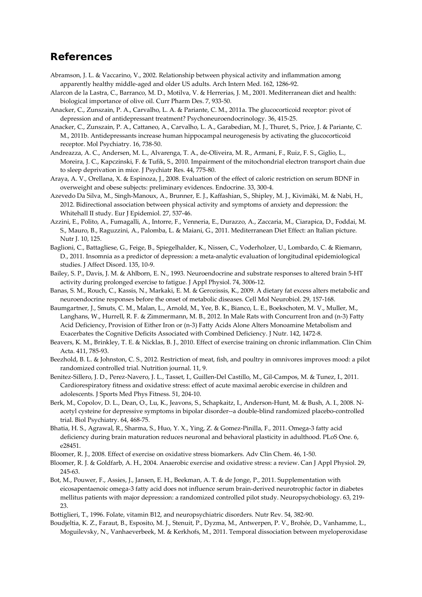#### **References**

- <span id="page-18-17"></span>Abramson, J. L. & Vaccarino, V., 2002. Relationship between physical activity and inflammation among apparently healthy middle-aged and older US adults. Arch Intern Med. 162, 1286-92.
- <span id="page-18-8"></span>Alarcon de la Lastra, C., Barranco, M. D., Motilva, V. & Herrerias, J. M., 2001. Mediterranean diet and health: biological importance of olive oil. Curr Pharm Des. 7, 933-50.
- <span id="page-18-0"></span>Anacker, C., Zunszain, P. A., Carvalho, L. A. & Pariante, C. M., 2011a. The glucocorticoid receptor: pivot of depression and of antidepressant treatment? Psychoneuroendocrinology. 36, 415-25.
- <span id="page-18-1"></span>Anacker, C., Zunszain, P. A., Cattaneo, A., Carvalho, L. A., Garabedian, M. J., Thuret, S., Price, J. & Pariante, C. M., 2011b. Antidepressants increase human hippocampal neurogenesis by activating the glucocorticoid receptor. Mol Psychiatry. 16, 738-50.
- <span id="page-18-14"></span>Andreazza, A. C., Andersen, M. L., Alvarenga, T. A., de-Oliveira, M. R., Armani, F., Ruiz, F. S., Giglio, L., Moreira, J. C., Kapczinski, F. & Tufik, S., 2010. Impairment of the mitochondrial electron transport chain due to sleep deprivation in mice. J Psychiatr Res. 44, 775-80.
- <span id="page-18-9"></span>Araya, A. V., Orellana, X. & Espinoza, J., 2008. Evaluation of the effect of caloric restriction on serum BDNF in overweight and obese subjects: preliminary evidences. Endocrine. 33, 300-4.
- <span id="page-18-15"></span>Azevedo Da Silva, M., Singh-Manoux, A., Brunner, E. J., Kaffashian, S., Shipley, M. J., Kivimäki, M. & Nabi, H., 2012. Bidirectional association between physical activity and symptoms of anxiety and depression: the Whitehall II study. Eur J Epidemiol. 27, 537-46.
- <span id="page-18-7"></span>Azzini, E., Polito, A., Fumagalli, A., Intorre, F., Venneria, E., Durazzo, A., Zaccaria, M., Ciarapica, D., Foddai, M. S., Mauro, B., Raguzzini, A., Palomba, L. & Maiani, G., 2011. Mediterranean Diet Effect: an Italian picture. Nutr J. 10, 125.
- <span id="page-18-12"></span>Baglioni, C., Battagliese, G., Feige, B., Spiegelhalder, K., Nissen, C., Voderholzer, U., Lombardo, C. & Riemann, D., 2011. Insomnia as a predictor of depression: a meta-analytic evaluation of longitudinal epidemiological studies. J Affect Disord. 135, 10-9.
- <span id="page-18-18"></span>Bailey, S. P., Davis, J. M. & Ahlborn, E. N., 1993. Neuroendocrine and substrate responses to altered brain 5-HT activity during prolonged exercise to fatigue. J Appl Physiol. 74, 3006-12.
- <span id="page-18-4"></span>Banas, S. M., Rouch, C., Kassis, N., Markaki, E. M. & Gerozissis, K., 2009. A dietary fat excess alters metabolic and neuroendocrine responses before the onset of metabolic diseases. Cell Mol Neurobiol. 29, 157-168.
- <span id="page-18-6"></span>Baumgartner, J., Smuts, C. M., Malan, L., Arnold, M., Yee, B. K., Bianco, L. E., Boekschoten, M. V., Muller, M., Langhans, W., Hurrell, R. F. & Zimmermann, M. B., 2012. In Male Rats with Concurrent Iron and (n-3) Fatty Acid Deficiency, Provision of Either Iron or (n-3) Fatty Acids Alone Alters Monoamine Metabolism and Exacerbates the Cognitive Deficits Associated with Combined Deficiency. J Nutr. 142, 1472-8.
- <span id="page-18-16"></span>Beavers, K. M., Brinkley, T. E. & Nicklas, B. J., 2010. Effect of exercise training on chronic inflammation. Clin Chim Acta. 411, 785-93.
- <span id="page-18-3"></span>Beezhold, B. L. & Johnston, C. S., 2012. Restriction of meat, fish, and poultry in omnivores improves mood: a pilot randomized controlled trial. Nutrition journal. 11, 9.
- <span id="page-18-19"></span>Benitez-Sillero, J. D., Perez-Navero, J. L., Tasset, I., Guillen-Del Castillo, M., Gil-Campos, M. & Tunez, I., 2011. Cardiorespiratory fitness and oxidative stress: effect of acute maximal aerobic exercise in children and adolescents. J Sports Med Phys Fitness. 51, 204-10.
- <span id="page-18-2"></span>Berk, M., Copolov, D. L., Dean, O., Lu, K., Jeavons, S., Schapkaitz, I., Anderson-Hunt, M. & Bush, A. I., 2008. Nacetyl cysteine for depressive symptoms in bipolar disorder--a double-blind randomized placebo-controlled trial. Biol Psychiatry. 64, 468-75.
- <span id="page-18-10"></span>Bhatia, H. S., Agrawal, R., Sharma, S., Huo, Y. X., Ying, Z. & Gomez-Pinilla, F., 2011. Omega-3 fatty acid deficiency during brain maturation reduces neuronal and behavioral plasticity in adulthood. PLoS One. 6, e28451.
- <span id="page-18-20"></span>Bloomer, R. J., 2008. Effect of exercise on oxidative stress biomarkers. Adv Clin Chem. 46, 1-50.
- <span id="page-18-21"></span>Bloomer, R. J. & Goldfarb, A. H., 2004. Anaerobic exercise and oxidative stress: a review. Can J Appl Physiol. 29, 245-63.
- <span id="page-18-11"></span>Bot, M., Pouwer, F., Assies, J., Jansen, E. H., Beekman, A. T. & de Jonge, P., 2011. Supplementation with eicosapentaenoic omega-3 fatty acid does not influence serum brain-derived neurotrophic factor in diabetes mellitus patients with major depression: a randomized controlled pilot study. Neuropsychobiology. 63, 219- 23.
- <span id="page-18-5"></span>Bottiglieri, T., 1996. Folate, vitamin B12, and neuropsychiatric disorders. Nutr Rev. 54, 382-90.
- <span id="page-18-13"></span>Boudjeltia, K. Z., Faraut, B., Esposito, M. J., Stenuit, P., Dyzma, M., Antwerpen, P. V., Brohée, D., Vanhamme, L., Moguilevsky, N., Vanhaeverbeek, M. & Kerkhofs, M., 2011. Temporal dissociation between myeloperoxidase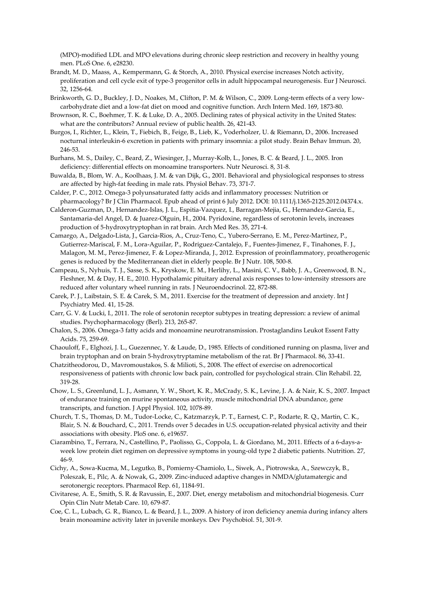(MPO)-modified LDL and MPO elevations during chronic sleep restriction and recovery in healthy young men. PLoS One. 6, e28230.

- <span id="page-19-19"></span>Brandt, M. D., Maass, A., Kempermann, G. & Storch, A., 2010. Physical exercise increases Notch activity, proliferation and cell cycle exit of type-3 progenitor cells in adult hippocampal neurogenesis. Eur J Neurosci. 32, 1256-64.
- <span id="page-19-4"></span>Brinkworth, G. D., Buckley, J. D., Noakes, M., Clifton, P. M. & Wilson, C., 2009. Long-term effects of a very lowcarbohydrate diet and a low-fat diet on mood and cognitive function. Arch Intern Med. 169, 1873-80.
- <span id="page-19-0"></span>Brownson, R. C., Boehmer, T. K. & Luke, D. A., 2005. Declining rates of physical activity in the United States: what are the contributors? Annual review of public health. 26, 421-43.
- <span id="page-19-14"></span>Burgos, I., Richter, L., Klein, T., Fiebich, B., Feige, B., Lieb, K., Voderholzer, U. & Riemann, D., 2006. Increased nocturnal interleukin-6 excretion in patients with primary insomnia: a pilot study. Brain Behav Immun. 20, 246-53.
- <span id="page-19-10"></span>Burhans, M. S., Dailey, C., Beard, Z., Wiesinger, J., Murray-Kolb, L., Jones, B. C. & Beard, J. L., 2005. Iron deficiency: differential effects on monoamine transporters. Nutr Neurosci. 8, 31-8.
- <span id="page-19-7"></span>Buwalda, B., Blom, W. A., Koolhaas, J. M. & van Dijk, G., 2001. Behavioral and physiological responses to stress are affected by high-fat feeding in male rats. Physiol Behav. 73, 371-7.
- <span id="page-19-6"></span>Calder, P. C., 2012. Omega-3 polyunsaturated fatty acids and inflammatory processes: Nutrition or pharmacology? Br J Clin Pharmacol. Epub ahead of print 6 July 2012. DOI: 10.1111/j.1365-2125.2012.04374.x.
- <span id="page-19-9"></span>Calderon-Guzman, D., Hernandez-Islas, J. L., Espitia-Vazquez, I., Barragan-Mejia, G., Hernandez-Garcia, E., Santamaria-del Angel, D. & Juarez-Olguin, H., 2004. Pyridoxine, regardless of serotonin levels, increases production of 5-hydroxytryptophan in rat brain. Arch Med Res. 35, 271-4.
- <span id="page-19-5"></span>Camargo, A., Delgado-Lista, J., Garcia-Rios, A., Cruz-Teno, C., Yubero-Serrano, E. M., Perez-Martinez, P., Gutierrez-Mariscal, F. M., Lora-Aguilar, P., Rodriguez-Cantalejo, F., Fuentes-Jimenez, F., Tinahones, F. J., Malagon, M. M., Perez-Jimenez, F. & Lopez-Miranda, J., 2012. Expression of proinflammatory, proatherogenic genes is reduced by the Mediterranean diet in elderly people. Br J Nutr. 108, 500-8.
- <span id="page-19-17"></span>Campeau, S., Nyhuis, T. J., Sasse, S. K., Kryskow, E. M., Herlihy, L., Masini, C. V., Babb, J. A., Greenwood, B. N., Fleshner, M. & Day, H. E., 2010. Hypothalamic pituitary adrenal axis responses to low-intensity stressors are reduced after voluntary wheel running in rats. J Neuroendocrinol. 22, 872-88.
- <span id="page-19-15"></span>Carek, P. J., Laibstain, S. E. & Carek, S. M., 2011. Exercise for the treatment of depression and anxiety. Int J Psychiatry Med. 41, 15-28.
- <span id="page-19-2"></span>Carr, G. V. & Lucki, I., 2011. The role of serotonin receptor subtypes in treating depression: a review of animal studies. Psychopharmacology (Berl). 213, 265-87.
- <span id="page-19-12"></span>Chalon, S., 2006. Omega-3 fatty acids and monoamine neurotransmission. Prostaglandins Leukot Essent Fatty Acids. 75, 259-69.
- <span id="page-19-16"></span>Chaouloff, F., Elghozi, J. L., Guezennec, Y. & Laude, D., 1985. Effects of conditioned running on plasma, liver and brain tryptophan and on brain 5-hydroxytryptamine metabolism of the rat. Br J Pharmacol. 86, 33-41.
- <span id="page-19-18"></span>Chatzitheodorou, D., Mavromoustakos, S. & Milioti, S., 2008. The effect of exercise on adrenocortical responsiveness of patients with chronic low back pain, controlled for psychological strain. Clin Rehabil. 22, 319-28.
- <span id="page-19-20"></span>Chow, L. S., Greenlund, L. J., Asmann, Y. W., Short, K. R., McCrady, S. K., Levine, J. A. & Nair, K. S., 2007. Impact of endurance training on murine spontaneous activity, muscle mitochondrial DNA abundance, gene transcripts, and function. J Appl Physiol. 102, 1078-89.
- <span id="page-19-1"></span>Church, T. S., Thomas, D. M., Tudor-Locke, C., Katzmarzyk, P. T., Earnest, C. P., Rodarte, R. Q., Martin, C. K., Blair, S. N. & Bouchard, C., 2011. Trends over 5 decades in U.S. occupation-related physical activity and their associations with obesity. PloS one. 6, e19657.
- <span id="page-19-3"></span>Ciarambino, T., Ferrara, N., Castellino, P., Paolisso, G., Coppola, L. & Giordano, M., 2011. Effects of a 6-days-aweek low protein diet regimen on depressive symptoms in young-old type 2 diabetic patients. Nutrition. 27, 46-9.
- <span id="page-19-8"></span>Cichy, A., Sowa-Kucma, M., Legutko, B., Pomierny-Chamiolo, L., Siwek, A., Piotrowska, A., Szewczyk, B., Poleszak, E., Pilc, A. & Nowak, G., 2009. Zinc-induced adaptive changes in NMDA/glutamatergic and serotonergic receptors. Pharmacol Rep. 61, 1184-91.
- <span id="page-19-13"></span>Civitarese, A. E., Smith, S. R. & Ravussin, E., 2007. Diet, energy metabolism and mitochondrial biogenesis. Curr Opin Clin Nutr Metab Care. 10, 679-87.
- <span id="page-19-11"></span>Coe, C. L., Lubach, G. R., Bianco, L. & Beard, J. L., 2009. A history of iron deficiency anemia during infancy alters brain monoamine activity later in juvenile monkeys. Dev Psychobiol. 51, 301-9.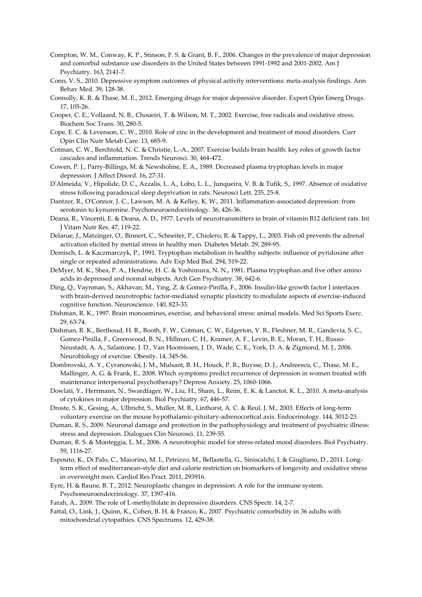- <span id="page-20-0"></span>Compton, W. M., Conway, K. P., Stinson, F. S. & Grant, B. F., 2006. Changes in the prevalence of major depression and comorbid substance use disorders in the United States between 1991-1992 and 2001-2002. Am J Psychiatry. 163, 2141-7.
- <span id="page-20-18"></span>Conn, V. S., 2010. Depressive symptom outcomes of physical activity interventions: meta-analysis findings. Ann Behav Med. 39, 128-38.
- <span id="page-20-1"></span>Connolly, K. R. & Thase, M. E., 2012. Emerging drugs for major depressive disorder. Expert Opin Emerg Drugs. 17, 105-26.
- <span id="page-20-20"></span>Cooper, C. E., Vollaard, N. B., Choueiri, T. & Wilson, M. T., 2002. Exercise, free radicals and oxidative stress. Biochem Soc Trans. 30, 280-5.
- <span id="page-20-11"></span>Cope, E. C. & Levenson, C. W., 2010. Role of zinc in the development and treatment of mood disorders. Curr Opin Clin Nutr Metab Care. 13, 685-9.
- <span id="page-20-22"></span>Cotman, C. W., Berchtold, N. C. & Christie, L.-A., 2007. Exercise builds brain health: key roles of growth factor cascades and inflammation. Trends Neurosci. 30, 464-472.
- <span id="page-20-9"></span>Cowen, P. J., Parry-Billings, M. & Newsholme, E. A., 1989. Decreased plasma tryptophan levels in major depression. J Affect Disord. 16, 27-31.
- <span id="page-20-17"></span>D'Almeida, V., Hipolide, D. C., Azzalis, L. A., Lobo, L. L., Junqueira, V. B. & Tufik, S., 1997. Absence of oxidative stress following paradoxical sleep deprivation in rats. Neurosci Lett. 235, 25-8.
- <span id="page-20-7"></span>Dantzer, R., O'Connor, J. C., Lawson, M. A. & Kelley, K. W., 2011. Inflammation-associated depression: from serotonin to kynurenine. Psychoneuroendocrinology. 36, 426-36.
- <span id="page-20-12"></span>Deana, R., Vincenti, E. & Deana, A. D., 1977. Levels of neurotransmitters in brain of vitamin B12 deficient rats. Int J Vitam Nutr Res. 47, 119-22.
- <span id="page-20-15"></span>Delarue, J., Matzinger, O., Binnert, C., Schneiter, P., Chiolero, R. & Tappy, L., 2003. Fish oil prevents the adrenal activation elicited by mental stress in healthy men. Diabetes Metab. 29, 289-95.
- <span id="page-20-13"></span>Demisch, L. & Kaczmarczyk, P., 1991. Tryptophan metabolism in healthy subjects: influence of pyridoxine after single or repeated administrations. Adv Exp Med Biol. 294, 519-22.
- <span id="page-20-10"></span>DeMyer, M. K., Shea, P. A., Hendrie, H. C. & Yoshimura, N. N., 1981. Plasma tryptophan and five other amino acids in depressed and normal subjects. Arch Gen Psychiatry. 38, 642-6.
- <span id="page-20-24"></span>Ding, Q., Vaynman, S., Akhavan, M., Ying, Z. & Gomez-Pinilla, F., 2006. Insulin-like growth factor I interfaces with brain-derived neurotrophic factor-mediated synaptic plasticity to modulate aspects of exercise-induced cognitive function. Neuroscience. 140, 823-33.
- <span id="page-20-19"></span>Dishman, R. K., 1997. Brain monoamines, exercise, and behavioral stress: animal models. Med Sci Sports Exerc. 29, 63-74.
- <span id="page-20-23"></span>Dishman, R. K., Berthoud, H. R., Booth, F. W., Cotman, C. W., Edgerton, V. R., Fleshner, M. R., Gandevia, S. C., Gomez-Pinilla, F., Greenwood, B. N., Hillman, C. H., Kramer, A. F., Levin, B. E., Moran, T. H., Russo-Neustadt, A. A., Salamone, J. D., Van Hoomissen, J. D., Wade, C. E., York, D. A. & Zigmond, M. J., 2006. Neurobiology of exercise. Obesity. 14, 345-56.
- <span id="page-20-16"></span>Dombrovski, A. Y., Cyranowski, J. M., Mulsant, B. H., Houck, P. R., Buysse, D. J., Andreescu, C., Thase, M. E., Mallinger, A. G. & Frank, E., 2008. Which symptoms predict recurrence of depression in women treated with maintenance interpersonal psychotherapy? Depress Anxiety. 25, 1060-1066.
- <span id="page-20-6"></span>Dowlati, Y., Herrmann, N., Swardfager, W., Liu, H., Sham, L., Reim, E. K. & Lanctot, K. L., 2010. A meta-analysis of cytokines in major depression. Biol Psychiatry. 67, 446-57.
- <span id="page-20-21"></span>Droste, S. K., Gesing, A., Ulbricht, S., Muller, M. B., Linthorst, A. C. & Reul, J. M., 2003. Effects of long-term voluntary exercise on the mouse hypothalamic-pituitary-adrenocortical axis. Endocrinology. 144, 3012-23.
- <span id="page-20-2"></span>Duman, R. S., 2009. Neuronal damage and protection in the pathophysiology and treatment of psychiatric illness: stress and depression. Dialogues Clin Neurosci. 11, 239-55.
- <span id="page-20-4"></span>Duman, R. S. & Monteggia, L. M., 2006. A neurotrophic model for stress-related mood disorders. Biol Psychiatry. 59, 1116-27.
- <span id="page-20-14"></span>Esposito, K., Di Palo, C., Maiorino, M. I., Petrizzo, M., Bellastella, G., Siniscalchi, I. & Giugliano, D., 2011. Longterm effect of mediterranean-style diet and calorie restriction on biomarkers of longevity and oxidative stress in overweight men. Cardiol Res Pract. 2011, 293916.
- <span id="page-20-3"></span>Eyre, H. & Baune, B. T., 2012. Neuroplastic changes in depression: A role for the immune system. Psychoneuroendocrinology. 37, 1397-416.
- <span id="page-20-8"></span>Farah, A., 2009. The role of L-methylfolate in depressive disorders. CNS Spectr. 14, 2-7.
- <span id="page-20-5"></span>Fattal, O., Link, J., Quinn, K., Cohen, B. H. & Franco, K., 2007. Psychiatric comorbidity in 36 adults with mitochondrial cytopathies. CNS Spectrums. 12, 429-38.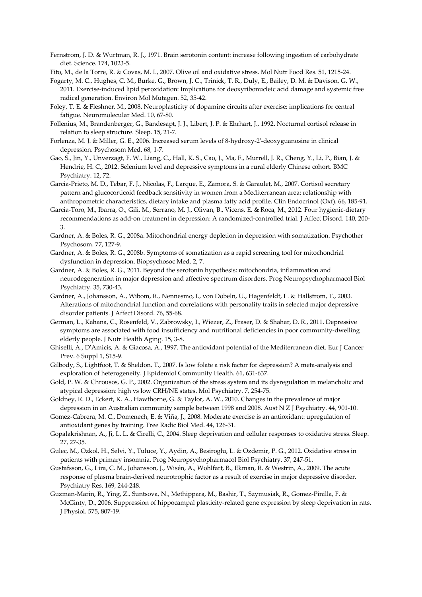- <span id="page-21-9"></span>Fernstrom, J. D. & Wurtman, R. J., 1971. Brain serotonin content: increase following ingestion of carbohydrate diet. Science. 174, 1023-5.
- <span id="page-21-11"></span>Fito, M., de la Torre, R. & Covas, M. I., 2007. Olive oil and oxidative stress. Mol Nutr Food Res. 51, 1215-24.
- <span id="page-21-19"></span>Fogarty, M. C., Hughes, C. M., Burke, G., Brown, J. C., Trinick, T. R., Duly, E., Bailey, D. M. & Davison, G. W., 2011. Exercise-induced lipid peroxidation: Implications for deoxyribonucleic acid damage and systemic free radical generation. Environ Mol Mutagen. 52, 35-42.
- <span id="page-21-18"></span>Foley, T. E. & Fleshner, M., 2008. Neuroplasticity of dopamine circuits after exercise: implications for central fatigue. Neuromolecular Med. 10, 67-80.
- <span id="page-21-17"></span>Follenius, M., Brandenberger, G., Bandesapt, J. J., Libert, J. P. & Ehrhart, J., 1992. Nocturnal cortisol release in relation to sleep structure. Sleep. 15, 21-7.
- <span id="page-21-2"></span>Forlenza, M. J. & Miller, G. E., 2006. Increased serum levels of 8-hydroxy-2'-deoxyguanosine in clinical depression. Psychosom Med. 68, 1-7.
- <span id="page-21-8"></span>Gao, S., Jin, Y., Unverzagt, F. W., Liang, C., Hall, K. S., Cao, J., Ma, F., Murrell, J. R., Cheng, Y., Li, P., Bian, J. & Hendrie, H. C., 2012. Selenium level and depressive symptoms in a rural elderly Chinese cohort. BMC Psychiatry. 12, 72.
- <span id="page-21-12"></span>Garcia-Prieto, M. D., Tebar, F. J., Nicolas, F., Larque, E., Zamora, S. & Garaulet, M., 2007. Cortisol secretary pattern and glucocorticoid feedback sensitivity in women from a Mediterranean area: relationship with anthropometric characteristics, dietary intake and plasma fatty acid profile. Clin Endocrinol (Oxf). 66, 185-91.
- <span id="page-21-22"></span>Garcia-Toro, M., Ibarra, O., Gili, M., Serrano, M. J., Olivan, B., Vicens, E. & Roca, M., 2012. Four hygienic-dietary recommendations as add-on treatment in depression: A randomized-controlled trial. J Affect Disord. 140, 200- 3.
- <span id="page-21-3"></span>Gardner, A. & Boles, R. G., 2008a. Mitochondrial energy depletion in depression with somatization. Psychother Psychosom. 77, 127-9.
- <span id="page-21-5"></span>Gardner, A. & Boles, R. G., 2008b. Symptoms of somatization as a rapid screening tool for mitochondrial dysfunction in depression. Biopsychosoc Med. 2, 7.
- <span id="page-21-13"></span>Gardner, A. & Boles, R. G., 2011. Beyond the serotonin hypothesis: mitochondria, inflammation and neurodegeneration in major depression and affective spectrum disorders. Prog Neuropsychopharmacol Biol Psychiatry. 35, 730-43.
- <span id="page-21-4"></span>Gardner, A., Johansson, A., Wibom, R., Nennesmo, I., von Dobeln, U., Hagenfeldt, L. & Hallstrom, T., 2003. Alterations of mitochondrial function and correlations with personality traits in selected major depressive disorder patients. J Affect Disord. 76, 55-68.
- <span id="page-21-6"></span>German, L., Kahana, C., Rosenfeld, V., Zabrowsky, I., Wiezer, Z., Fraser, D. & Shahar, D. R., 2011. Depressive symptoms are associated with food insufficiency and nutritional deficiencies in poor community-dwelling elderly people. J Nutr Health Aging. 15, 3-8.
- <span id="page-21-10"></span>Ghiselli, A., D'Amicis, A. & Giacosa, A., 1997. The antioxidant potential of the Mediterranean diet. Eur J Cancer Prev. 6 Suppl 1, S15-9.
- <span id="page-21-7"></span>Gilbody, S., Lightfoot, T. & Sheldon, T., 2007. Is low folate a risk factor for depression? A meta-analysis and exploration of heterogeneity. J Epidemiol Community Health. 61, 631-637.
- <span id="page-21-1"></span>Gold, P. W. & Chrousos, G. P., 2002. Organization of the stress system and its dysregulation in melancholic and atypical depression: high vs low CRH/NE states. Mol Psychiatry. 7, 254-75.
- <span id="page-21-0"></span>Goldney, R. D., Eckert, K. A., Hawthorne, G. & Taylor, A. W., 2010. Changes in the prevalence of major depression in an Australian community sample between 1998 and 2008. Aust N Z J Psychiatry. 44, 901-10.
- <span id="page-21-20"></span>Gomez-Cabrera, M. C., Domenech, E. & Viña, J., 2008. Moderate exercise is an antioxidant: upregulation of antioxidant genes by training. Free Radic Biol Med. 44, 126-31.
- <span id="page-21-14"></span>Gopalakrishnan, A., Ji, L. L. & Cirelli, C., 2004. Sleep deprivation and cellular responses to oxidative stress. Sleep. 27, 27-35.
- <span id="page-21-15"></span>Gulec, M., Ozkol, H., Selvi, Y., Tuluce, Y., Aydin, A., Besiroglu, L. & Ozdemir, P. G., 2012. Oxidative stress in patients with primary insomnia. Prog Neuropsychopharmacol Biol Psychiatry. 37, 247-51.
- <span id="page-21-21"></span>Gustafsson, G., Lira, C. M., Johansson, J., Wisén, A., Wohlfart, B., Ekman, R. & Westrin, A., 2009. The acute response of plasma brain-derived neurotrophic factor as a result of exercise in major depressive disorder. Psychiatry Res. 169, 244-248.
- <span id="page-21-16"></span>Guzman-Marin, R., Ying, Z., Suntsova, N., Methippara, M., Bashir, T., Szymusiak, R., Gomez-Pinilla, F. & McGinty, D., 2006. Suppression of hippocampal plasticity-related gene expression by sleep deprivation in rats. J Physiol. 575, 807-19.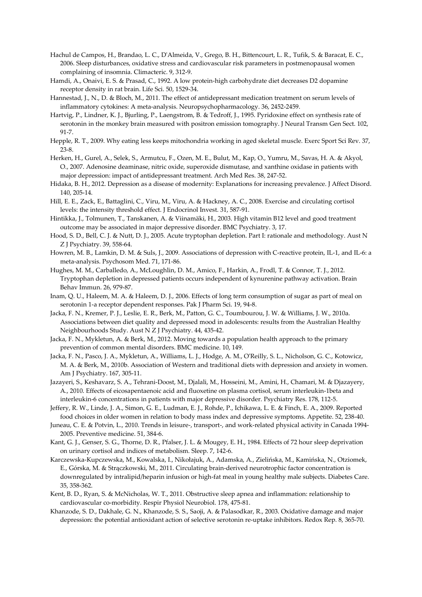- <span id="page-22-19"></span>Hachul de Campos, H., Brandao, L. C., D'Almeida, V., Grego, B. H., Bittencourt, L. R., Tufik, S. & Baracat, E. C., 2006. Sleep disturbances, oxidative stress and cardiovascular risk parameters in postmenopausal women complaining of insomnia. Climacteric. 9, 312-9.
- <span id="page-22-13"></span>Hamdi, A., Onaivi, E. S. & Prasad, C., 1992. A low protein-high carbohydrate diet decreases D2 dopamine receptor density in rat brain. Life Sci. 50, 1529-34.
- <span id="page-22-5"></span>Hannestad, J., N., D. & Bloch, M., 2011. The effect of antidepressant medication treatment on serum levels of inflammatory cytokines: A meta-analysis. Neuropsychopharmacology. 36, 2452-2459.
- <span id="page-22-14"></span>Hartvig, P., Lindner, K. J., Bjurling, P., Laengstrom, B. & Tedroff, J., 1995. Pyridoxine effect on synthesis rate of serotonin in the monkey brain measured with positron emission tomography. J Neural Transm Gen Sect. 102, 91-7.
- <span id="page-22-17"></span>Hepple, R. T., 2009. Why eating less keeps mitochondria working in aged skeletal muscle. Exerc Sport Sci Rev. 37, 23-8.
- <span id="page-22-3"></span>Herken, H., Gurel, A., Selek, S., Armutcu, F., Ozen, M. E., Bulut, M., Kap, O., Yumru, M., Savas, H. A. & Akyol, O., 2007. Adenosine deaminase, nitric oxide, superoxide dismutase, and xanthine oxidase in patients with major depression: impact of antidepressant treatment. Arch Med Res. 38, 247-52.
- <span id="page-22-7"></span>Hidaka, B. H., 2012. Depression as a disease of modernity: Explanations for increasing prevalence. J Affect Disord. 140, 205-14.
- <span id="page-22-21"></span>Hill, E. E., Zack, E., Battaglini, C., Viru, M., Viru, A. & Hackney, A. C., 2008. Exercise and circulating cortisol levels: the intensity threshold effect. J Endocrinol Invest. 31, 587-91.
- <span id="page-22-11"></span>Hintikka, J., Tolmunen, T., Tanskanen, A. & Viinamäki, H., 2003. High vitamin B12 level and good treatment outcome may be associated in major depressive disorder. BMC Psychiatry. 3, 17.
- <span id="page-22-1"></span>Hood, S. D., Bell, C. J. & Nutt, D. J., 2005. Acute tryptophan depletion. Part I: rationale and methodology. Aust N Z J Psychiatry. 39, 558-64.
- <span id="page-22-4"></span>Howren, M. B., Lamkin, D. M. & Suls, J., 2009. Associations of depression with C-reactive protein, IL-1, and IL-6: a meta-analysis. Psychosom Med. 71, 171-86.
- <span id="page-22-6"></span>Hughes, M. M., Carballedo, A., McLoughlin, D. M., Amico, F., Harkin, A., Frodl, T. & Connor, T. J., 2012. Tryptophan depletion in depressed patients occurs independent of kynurenine pathway activation. Brain Behav Immun. 26, 979-87.
- <span id="page-22-12"></span>Inam, Q. U., Haleem, M. A. & Haleem, D. J., 2006. Effects of long term consumption of sugar as part of meal on serotonin 1-a receptor dependent responses. Pak J Pharm Sci. 19, 94-8.
- <span id="page-22-9"></span>Jacka, F. N., Kremer, P. J., Leslie, E. R., Berk, M., Patton, G. C., Toumbourou, J. W. & Williams, J. W., 2010a. Associations between diet quality and depressed mood in adolescents: results from the Australian Healthy Neighbourhoods Study. Aust N Z J Psychiatry. 44, 435-42.
- <span id="page-22-22"></span>Jacka, F. N., Mykletun, A. & Berk, M., 2012. Moving towards a population health approach to the primary prevention of common mental disorders. BMC medicine. 10, 149.
- <span id="page-22-8"></span>Jacka, F. N., Pasco, J. A., Mykletun, A., Williams, L. J., Hodge, A. M., O'Reilly, S. L., Nicholson, G. C., Kotowicz, M. A. & Berk, M., 2010b. Association of Western and traditional diets with depression and anxiety in women. Am J Psychiatry. 167, 305-11.
- <span id="page-22-16"></span>Jazayeri, S., Keshavarz, S. A., Tehrani-Doost, M., Djalali, M., Hosseini, M., Amini, H., Chamari, M. & Djazayery, A., 2010. Effects of eicosapentaenoic acid and fluoxetine on plasma cortisol, serum interleukin-1beta and interleukin-6 concentrations in patients with major depressive disorder. Psychiatry Res. 178, 112-5.
- <span id="page-22-10"></span>Jeffery, R. W., Linde, J. A., Simon, G. E., Ludman, E. J., Rohde, P., Ichikawa, L. E. & Finch, E. A., 2009. Reported food choices in older women in relation to body mass index and depressive symptoms. Appetite. 52, 238-40.
- <span id="page-22-0"></span>Juneau, C. E. & Potvin, L., 2010. Trends in leisure-, transport-, and work-related physical activity in Canada 1994- 2005. Preventive medicine. 51, 384-6.
- <span id="page-22-20"></span>Kant, G. J., Genser, S. G., Thorne, D. R., Pfalser, J. L. & Mougey, E. H., 1984. Effects of 72 hour sleep deprivation on urinary cortisol and indices of metabolism. Sleep. 7, 142-6.
- <span id="page-22-15"></span>Karczewska-Kupczewska, M., Kowalska, I., Nikołajuk, A., Adamska, A., Zielińska, M., Kamińska, N., Otziomek, E., Górska, M. & Strączkowski, M., 2011. Circulating brain-derived neurotrophic factor concentration is downregulated by intralipid/heparin infusion or high-fat meal in young healthy male subjects. Diabetes Care. 35, 358-362.
- <span id="page-22-18"></span>Kent, B. D., Ryan, S. & McNicholas, W. T., 2011. Obstructive sleep apnea and inflammation: relationship to cardiovascular co-morbidity. Respir Physiol Neurobiol. 178, 475-81.
- <span id="page-22-2"></span>Khanzode, S. D., Dakhale, G. N., Khanzode, S. S., Saoji, A. & Palasodkar, R., 2003. Oxidative damage and major depression: the potential antioxidant action of selective serotonin re-uptake inhibitors. Redox Rep. 8, 365-70.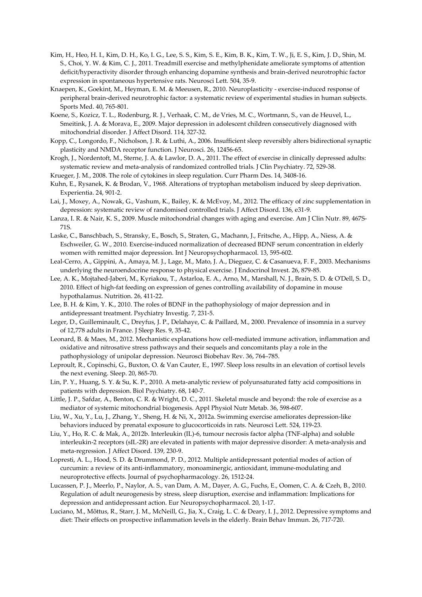- <span id="page-23-16"></span>Kim, H., Heo, H. I., Kim, D. H., Ko, I. G., Lee, S. S., Kim, S. E., Kim, B. K., Kim, T. W., Ji, E. S., Kim, J. D., Shin, M. S., Choi, Y. W. & Kim, C. J., 2011. Treadmill exercise and methylphenidate ameliorate symptoms of attention deficit/hyperactivity disorder through enhancing dopamine synthesis and brain-derived neurotrophic factor expression in spontaneous hypertensive rats. Neurosci Lett. 504, 35-9.
- <span id="page-23-19"></span>Knaepen, K., Goekint, M., Heyman, E. M. & Meeusen, R., 2010. Neuroplasticity - exercise-induced response of peripheral brain-derived neurotrophic factor: a systematic review of experimental studies in human subjects. Sports Med. 40, 765-801.
- <span id="page-23-3"></span>Koene, S., Kozicz, T. L., Rodenburg, R. J., Verhaak, C. M., de Vries, M. C., Wortmann, S., van de Heuvel, L., Smeitink, J. A. & Morava, E., 2009. Major depression in adolescent children consecutively diagnosed with mitochondrial disorder. J Affect Disord. 114, 327-32.
- <span id="page-23-13"></span>Kopp, C., Longordo, F., Nicholson, J. R. & Luthi, A., 2006. Insufficient sleep reversibly alters bidirectional synaptic plasticity and NMDA receptor function. J Neurosci. 26, 12456-65.
- <span id="page-23-15"></span>Krogh, J., Nordentoft, M., Sterne, J. A. & Lawlor, D. A., 2011. The effect of exercise in clinically depressed adults: systematic review and meta-analysis of randomized controlled trials. J Clin Psychiatry. 72, 529-38.
- <span id="page-23-10"></span>Krueger, J. M., 2008. The role of cytokines in sleep regulation. Curr Pharm Des. 14, 3408-16.
- <span id="page-23-11"></span>Kuhn, E., Rysanek, K. & Brodan, V., 1968. Alterations of tryptophan metabolism induced by sleep deprivation. Experientia. 24, 901-2.
- <span id="page-23-6"></span>Lai, J., Moxey, A., Nowak, G., Vashum, K., Bailey, K. & McEvoy, M., 2012. The efficacy of zinc supplementation in depression: systematic review of randomised controlled trials. J Affect Disord. 136, e31-9.
- <span id="page-23-22"></span>Lanza, I. R. & Nair, K. S., 2009. Muscle mitochondrial changes with aging and exercise. Am J Clin Nutr. 89, 467S-71S.
- <span id="page-23-20"></span>Laske, C., Banschbach, S., Stransky, E., Bosch, S., Straten, G., Machann, J., Fritsche, A., Hipp, A., Niess, A. & Eschweiler, G. W., 2010. Exercise-induced normalization of decreased BDNF serum concentration in elderly women with remitted major depression. Int J Neuropsychopharmacol. 13, 595-602.
- <span id="page-23-17"></span>Leal-Cerro, A., Gippini, A., Amaya, M. J., Lage, M., Mato, J. A., Dieguez, C. & Casanueva, F. F., 2003. Mechanisms underlying the neuroendocrine response to physical exercise. J Endocrinol Invest. 26, 879-85.
- <span id="page-23-8"></span>Lee, A. K., Mojtahed-Jaberi, M., Kyriakou, T., Astarloa, E. A., Arno, M., Marshall, N. J., Brain, S. D. & O'Dell, S. D., 2010. Effect of high-fat feeding on expression of genes controlling availability of dopamine in mouse hypothalamus. Nutrition. 26, 411-22.
- <span id="page-23-2"></span>Lee, B. H. & Kim, Y. K., 2010. The roles of BDNF in the pathophysiology of major depression and in antidepressant treatment. Psychiatry Investig. 7, 231-5.
- <span id="page-23-9"></span>Leger, D., Guilleminault, C., Dreyfus, J. P., Delahaye, C. & Paillard, M., 2000. Prevalence of insomnia in a survey of 12,778 adults in France. J Sleep Res. 9, 35-42.
- <span id="page-23-0"></span>Leonard, B. & Maes, M., 2012. Mechanistic explanations how cell-mediated immune activation, inflammation and oxidative and nitrosative stress pathways and their sequels and concomitants play a role in the pathophysiology of unipolar depression. Neurosci Biobehav Rev. 36, 764–785.
- <span id="page-23-14"></span>Leproult, R., Copinschi, G., Buxton, O. & Van Cauter, E., 1997. Sleep loss results in an elevation of cortisol levels the next evening. Sleep. 20, 865-70.
- <span id="page-23-5"></span>Lin, P. Y., Huang, S. Y. & Su, K. P., 2010. A meta-analytic review of polyunsaturated fatty acid compositions in patients with depression. Biol Psychiatry. 68, 140-7.
- <span id="page-23-21"></span>Little, J. P., Safdar, A., Benton, C. R. & Wright, D. C., 2011. Skeletal muscle and beyond: the role of exercise as a mediator of systemic mitochondrial biogenesis. Appl Physiol Nutr Metab. 36, 598-607.
- <span id="page-23-18"></span>Liu, W., Xu, Y., Lu, J., Zhang, Y., Sheng, H. & Ni, X., 2012a. Swimming exercise ameliorates depression-like behaviors induced by prenatal exposure to glucocorticoids in rats. Neurosci Lett. 524, 119-23.
- <span id="page-23-4"></span>Liu, Y., Ho, R. C. & Mak, A., 2012b. Interleukin (IL)-6, tumour necrosis factor alpha (TNF-alpha) and soluble interleukin-2 receptors (sIL-2R) are elevated in patients with major depressive disorder: A meta-analysis and meta-regression. J Affect Disord. 139, 230-9.
- <span id="page-23-1"></span>Lopresti, A. L., Hood, S. D. & Drummond, P. D., 2012. Multiple antidepressant potential modes of action of curcumin: a review of its anti-inflammatory, monoaminergic, antioxidant, immune-modulating and neuroprotective effects. Journal of psychopharmacology. 26, 1512-24.
- <span id="page-23-12"></span>Lucassen, P. J., Meerlo, P., Naylor, A. S., van Dam, A. M., Dayer, A. G., Fuchs, E., Oomen, C. A. & Czeh, B., 2010. Regulation of adult neurogenesis by stress, sleep disruption, exercise and inflammation: Implications for depression and antidepressant action. Eur Neuropsychopharmacol. 20, 1-17.
- <span id="page-23-7"></span>Luciano, M., Mõttus, R., Starr, J. M., McNeill, G., Jia, X., Craig, L. C. & Deary, I. J., 2012. Depressive symptoms and diet: Their effects on prospective inflammation levels in the elderly. Brain Behav Immun. 26, 717-720.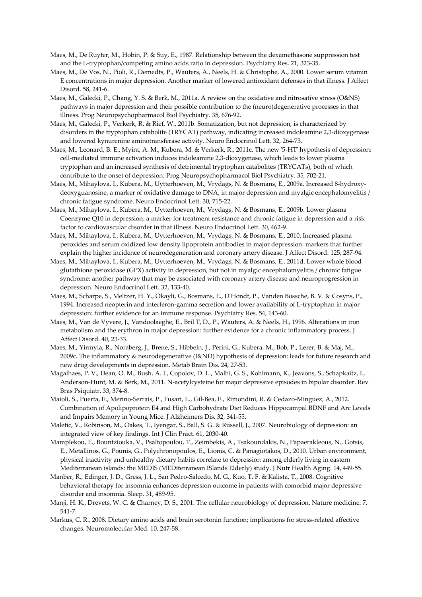- <span id="page-24-14"></span>Maes, M., De Ruyter, M., Hobin, P. & Suy, E., 1987. Relationship between the dexamethasone suppression test and the L-tryptophan/competing amino acids ratio in depression. Psychiatry Res. 21, 323-35.
- <span id="page-24-4"></span>Maes, M., De Vos, N., Pioli, R., Demedts, P., Wauters, A., Neels, H. & Christophe, A., 2000. Lower serum vitamin E concentrations in major depression. Another marker of lowered antioxidant defenses in that illness. J Affect Disord. 58, 241-6.
- <span id="page-24-3"></span>Maes, M., Galecki, P., Chang, Y. S. & Berk, M., 2011a. A review on the oxidative and nitrosative stress (O&NS) pathways in major depression and their possible contribution to the (neuro)degenerative processes in that illness. Prog Neuropsychopharmacol Biol Psychiatry. 35, 676-92.
- <span id="page-24-12"></span>Maes, M., Galecki, P., Verkerk, R. & Rief, W., 2011b. Somatization, but not depression, is characterized by disorders in the tryptophan catabolite (TRYCAT) pathway, indicating increased indoleamine 2,3-dioxygenase and lowered kynurenine aminotransferase activity. Neuro Endocrinol Lett. 32, 264-73.
- <span id="page-24-11"></span>Maes, M., Leonard, B. E., Myint, A. M., Kubera, M. & Verkerk, R., 2011c. The new '5-HT' hypothesis of depression: cell-mediated immune activation induces indoleamine 2,3-dioxygenase, which leads to lower plasma tryptophan and an increased synthesis of detrimental tryptophan catabolites (TRYCATs), both of which contribute to the onset of depression. Prog Neuropsychopharmacol Biol Psychiatry. 35, 702-21.
- <span id="page-24-7"></span>Maes, M., Mihaylova, I., Kubera, M., Uytterhoeven, M., Vrydags, N. & Bosmans, E., 2009a. Increased 8-hydroxydeoxyguanosine, a marker of oxidative damage to DNA, in major depression and myalgic encephalomyelitis / chronic fatigue syndrome. Neuro Endocrinol Lett. 30, 715-22.
- <span id="page-24-5"></span>Maes, M., Mihaylova, I., Kubera, M., Uytterhoeven, M., Vrydags, N. & Bosmans, E., 2009b. Lower plasma Coenzyme Q10 in depression: a marker for treatment resistance and chronic fatigue in depression and a risk factor to cardiovascular disorder in that illness. Neuro Endocrinol Lett. 30, 462-9.
- <span id="page-24-8"></span>Maes, M., Mihaylova, I., Kubera, M., Uytterhoeven, M., Vrydags, N. & Bosmans, E., 2010. Increased plasma peroxides and serum oxidized low density lipoprotein antibodies in major depression: markers that further explain the higher incidence of neurodegeneration and coronary artery disease. J Affect Disord. 125, 287-94.
- <span id="page-24-6"></span>Maes, M., Mihaylova, I., Kubera, M., Uytterhoeven, M., Vrydags, N. & Bosmans, E., 2011d. Lower whole blood glutathione peroxidase (GPX) activity in depression, but not in myalgic encephalomyelitis / chronic fatigue syndrome: another pathway that may be associated with coronary artery disease and neuroprogression in depression. Neuro Endocrinol Lett. 32, 133-40.
- <span id="page-24-10"></span>Maes, M., Scharpe, S., Meltzer, H. Y., Okayli, G., Bosmans, E., D'Hondt, P., Vanden Bossche, B. V. & Cosyns, P., 1994. Increased neopterin and interferon-gamma secretion and lower availability of L-tryptophan in major depression: further evidence for an immune response. Psychiatry Res. 54, 143-60.
- <span id="page-24-15"></span>Maes, M., Van de Vyvere, J., Vandoolaeghe, E., Bril T, D., P., Wauters, A. & Neels, H., 1996. Alterations in iron metabolism and the erythron in major depression: further evidence for a chronic inflammatory process. J Affect Disord. 40, 23-33.
- <span id="page-24-0"></span>Maes, M., Yirmyia, R., Noraberg, J., Brene, S., Hibbeln, J., Perini, G., Kubera, M., Bob, P., Lerer, B. & Maj, M., 2009c. The inflammatory & neurodegenerative (I&ND) hypothesis of depression: leads for future research and new drug developments in depression. Metab Brain Dis. 24, 27-53.
- <span id="page-24-9"></span>Magalhaes, P. V., Dean, O. M., Bush, A. I., Copolov, D. L., Malhi, G. S., Kohlmann, K., Jeavons, S., Schapkaitz, I., Anderson-Hunt, M. & Berk, M., 2011. N-acetylcysteine for major depressive episodes in bipolar disorder. Rev Bras Psiquiatr. 33, 374-8.
- <span id="page-24-17"></span>Maioli, S., Puerta, E., Merino-Serrais, P., Fusari, L., Gil-Bea, F., Rimondini, R. & Cedazo-Minguez, A., 2012. Combination of Apolipoprotein E4 and High Carbohydrate Diet Reduces Hippocampal BDNF and Arc Levels and Impairs Memory in Young Mice. J Alzheimers Dis. 32, 341-55.
- <span id="page-24-2"></span>Maletic, V., Robinson, M., Oakes, T., Iyengar, S., Ball, S. G. & Russell, J., 2007. Neurobiology of depression: an integrated view of key findings. Int J Clin Pract. 61, 2030-40.
- <span id="page-24-13"></span>Mamplekou, E., Bountziouka, V., Psaltopoulou, T., Zeimbekis, A., Tsakoundakis, N., Papaerakleous, N., Gotsis, E., Metallinos, G., Pounis, G., Polychronopoulos, E., Lionis, C. & Panagiotakos, D., 2010. Urban environment, physical inactivity and unhealthy dietary habits correlate to depression among elderly living in eastern Mediterranean islands: the MEDIS (MEDiterranean ISlands Elderly) study. J Nutr Health Aging. 14, 449-55.
- <span id="page-24-18"></span>Manber, R., Edinger, J. D., Gress, J. L., San Pedro-Salcedo, M. G., Kuo, T. F. & Kalista, T., 2008. Cognitive behavioral therapy for insomnia enhances depression outcome in patients with comorbid major depressive disorder and insomnia. Sleep. 31, 489-95.
- <span id="page-24-1"></span>Manji, H. K., Drevets, W. C. & Charney, D. S., 2001. The cellular neurobiology of depression. Nature medicine. 7, 541-7.
- <span id="page-24-16"></span>Markus, C. R., 2008. Dietary amino acids and brain serotonin function; implications for stress-related affective changes. Neuromolecular Med. 10, 247-58.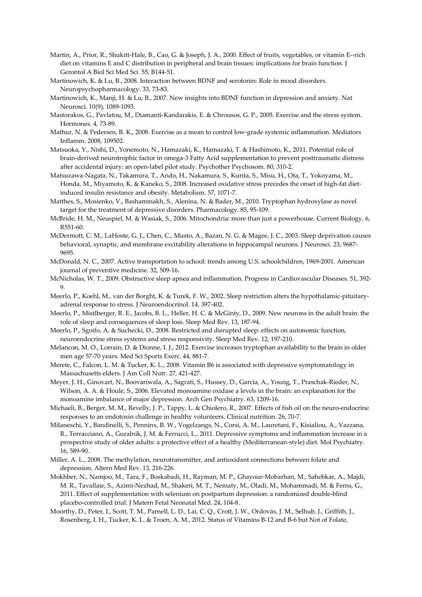- <span id="page-25-9"></span>Martin, A., Prior, R., Shukitt-Hale, B., Cao, G. & Joseph, J. A., 2000. Effect of fruits, vegetables, or vitamin E--rich diet on vitamins E and C distribution in peripheral and brain tissues: implications for brain function. J Gerontol A Biol Sci Med Sci. 55, B144-51.
- <span id="page-25-3"></span>Martinowich, K. & Lu, B., 2008. Interaction between BDNF and serotonin: Role in mood disorders. Neuropsychopharmacology. 33, 73-83.
- <span id="page-25-4"></span>Martinowich, K., Manji, H. & Lu, B., 2007. New insights into BDNF function in depression and anxiety. Nat Neurosci. 10(9), 1089-1093.
- <span id="page-25-21"></span>Mastorakos, G., Pavlatou, M., Diamanti-Kandarakis, E. & Chrousos, G. P., 2005. Exercise and the stress system. Hormones. 4, 73-89.
- <span id="page-25-19"></span>Mathur, N. & Pedersen, B. K., 2008. Exercise as a mean to control low-grade systemic inflammation. Mediators Inflamm. 2008, 109502.
- <span id="page-25-12"></span>Matsuoka, Y., Nishi, D., Yonemoto, N., Hamazaki, K., Hamazaki, T. & Hashimoto, K., 2011. Potential role of brain-derived neurotrophic factor in omega-3 Fatty Acid supplementation to prevent posttraumatic distress after accidental injury: an open-label pilot study. Psychother Psychosom. 80, 310-2.
- <span id="page-25-11"></span>Matsuzawa-Nagata, N., Takamura, T., Ando, H., Nakamura, S., Kurita, S., Misu, H., Ota, T., Yokoyama, M., Honda, M., Miyamoto, K. & Kaneko, S., 2008. Increased oxidative stress precedes the onset of high-fat dietinduced insulin resistance and obesity. Metabolism. 57, 1071-7.
- <span id="page-25-2"></span>Matthes, S., Mosienko, V., Bashammakh, S., Alenina, N. & Bader, M., 2010. Tryptophan hydroxylase as novel target for the treatment of depressive disorders. Pharmacology. 85, 95-109.
- <span id="page-25-5"></span>McBride, H. M., Neuspiel, M. & Wasiak, S., 2006. Mitochondria: more than just a powerhouse. Current Biology. 6, R551-60.
- <span id="page-25-16"></span>McDermott, C. M., LaHoste, G. J., Chen, C., Musto, A., Bazan, N. G. & Magee, J. C., 2003. Sleep deprivation causes behavioral, synaptic, and membrane excitability alterations in hippocampal neurons. J Neurosci. 23, 9687- 9695.
- <span id="page-25-0"></span>McDonald, N. C., 2007. Active transportation to school: trends among U.S. schoolchildren, 1969-2001. American journal of preventive medicine. 32, 509-16.
- <span id="page-25-14"></span>McNicholas, W. T., 2009. Obstructive sleep apnea and inflammation. Progress in Cardiovascular Diseases. 51, 392- 9.
- <span id="page-25-17"></span>Meerlo, P., Koehl, M., van der Borght, K. & Turek, F. W., 2002. Sleep restriction alters the hypothalamic-pituitaryadrenal response to stress. J Neuroendocrinol. 14, 397-402.
- <span id="page-25-15"></span>Meerlo, P., Mistlberger, R. E., Jacobs, B. L., Heller, H. C. & McGinty, D., 2009. New neurons in the adult brain: the role of sleep and consequences of sleep loss. Sleep Med Rev. 13, 187-94.
- <span id="page-25-18"></span>Meerlo, P., Sgoifo, A. & Suchecki, D., 2008. Restricted and disrupted sleep: effects on autonomic function, neuroendocrine stress systems and stress responsivity. Sleep Med Rev. 12, 197-210.
- <span id="page-25-20"></span>Melancon, M. O., Lorrain, D. & Dionne, I. J., 2012. Exercise increases tryptophan availability to the brain in older men age 57-70 years. Med Sci Sports Exerc. 44, 881-7.
- <span id="page-25-6"></span>Merete, C., Falcon, L. M. & Tucker, K. L., 2008. Vitamin B6 is associated with depressive symptomatology in Massachusetts elders. J Am Coll Nutr. 27, 421-427.
- <span id="page-25-1"></span>Meyer, J. H., Ginovart, N., Boovariwala, A., Sagrati, S., Hussey, D., Garcia, A., Young, T., Praschak-Rieder, N., Wilson, A. A. & Houle, S., 2006. Elevated monoamine oxidase a levels in the brain: an explanation for the monoamine imbalance of major depression. Arch Gen Psychiatry. 63, 1209-16.
- <span id="page-25-13"></span>Michaeli, B., Berger, M. M., Revelly, J. P., Tappy, L. & Chiolero, R., 2007. Effects of fish oil on the neuro-endocrine responses to an endotoxin challenge in healthy volunteers. Clinical nutrition. 26, 70-7.
- <span id="page-25-22"></span>Milaneschi, Y., Bandinelli, S., Penninx, B. W., Vogelzangs, N., Corsi, A. M., Lauretani, F., Kisialiou, A., Vazzana, R., Terracciano, A., Guralnik, J. M. & Ferrucci, L., 2011. Depressive symptoms and inflammation increase in a prospective study of older adults: a protective effect of a healthy (Mediterranean-style) diet. Mol Psychiatry. 16, 589-90.
- <span id="page-25-10"></span>Miller, A. L., 2008. The methylation, neurotransmitter, and antioxidant connections between folate and depression. Altern Med Rev. 13, 216-226.
- <span id="page-25-8"></span>Mokhber, N., Namjoo, M., Tara, F., Boskabadi, H., Rayman, M. P., Ghayour-Mobarhan, M., Sahebkar, A., Majdi, M. R., Tavallaie, S., Azimi-Nezhad, M., Shakeri, M. T., Nematy, M., Oladi, M., Mohammadi, M. & Ferns, G., 2011. Effect of supplementation with selenium on postpartum depression: a randomized double-blind placebo-controlled trial. J Matern Fetal Neonatal Med. 24, 104-8.
- <span id="page-25-7"></span>Moorthy, D., Peter, I., Scott, T. M., Parnell, L. D., Lai, C. Q., Crott, J. W., Ordovás, J. M., Selhub, J., Griffith, J., Rosenberg, I. H., Tucker, K. L. & Troen, A. M., 2012. Status of Vitamins B-12 and B-6 but Not of Folate,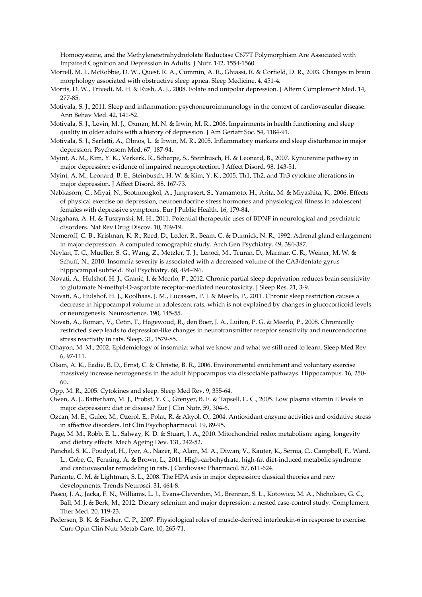Homocysteine, and the Methylenetetrahydrofolate Reductase C677T Polymorphism Are Associated with Impaired Cognition and Depression in Adults. J Nutr. 142, 1554-1560.

- <span id="page-26-18"></span>Morrell, M. J., McRobbie, D. W., Quest, R. A., Cummin, A. R., Ghiassi, R. & Corfield, D. R., 2003. Changes in brain morphology associated with obstructive sleep apnea. Sleep Medicine. 4, 451-4.
- <span id="page-26-7"></span>Morris, D. W., Trivedi, M. H. & Rush, A. J., 2008. Folate and unipolar depression. J Altern Complement Med. 14, 277-85.
- <span id="page-26-15"></span>Motivala, S. J., 2011. Sleep and inflammation: psychoneuroimmunology in the context of cardiovascular disease. Ann Behav Med. 42, 141-52.
- <span id="page-26-12"></span>Motivala, S. J., Levin, M. J., Oxman, M. N. & Irwin, M. R., 2006. Impairments in health functioning and sleep quality in older adults with a history of depression. J Am Geriatr Soc. 54, 1184-91.
- <span id="page-26-14"></span>Motivala, S. J., Sarfatti, A., Olmos, L. & Irwin, M. R., 2005. Inflammatory markers and sleep disturbance in major depression. Psychosom Med. 67, 187-94.
- <span id="page-26-6"></span>Myint, A. M., Kim, Y. K., Verkerk, R., Scharpe, S., Steinbusch, H. & Leonard, B., 2007. Kynurenine pathway in major depression: evidence of impaired neuroprotection. J Affect Disord. 98, 143-51.
- <span id="page-26-5"></span>Myint, A. M., Leonard, B. E., Steinbusch, H. W. & Kim, Y. K., 2005. Th1, Th2, and Th3 cytokine alterations in major depression. J Affect Disord. 88, 167-73.
- <span id="page-26-22"></span>Nabkasorn, C., Miyai, N., Sootmongkol, A., Junprasert, S., Yamamoto, H., Arita, M. & Miyashita, K., 2006. Effects of physical exercise on depression, neuroendocrine stress hormones and physiological fitness in adolescent females with depressive symptoms. Eur J Public Health. 16, 179-84.
- <span id="page-26-4"></span>Nagahara, A. H. & Tuszynski, M. H., 2011. Potential therapeutic uses of BDNF in neurological and psychiatric disorders. Nat Rev Drug Discov. 10, 209-19.
- <span id="page-26-1"></span>Nemeroff, C. B., Krishnan, K. R., Reed, D., Leder, R., Beam, C. & Dunnick, N. R., 1992. Adrenal gland enlargement in major depression. A computed tomographic study. Arch Gen Psychiatry. 49, 384-387.
- <span id="page-26-19"></span>Neylan, T. C., Mueller, S. G., Wang, Z., Metzler, T. J., Lenoci, M., Truran, D., Marmar, C. R., Weiner, M. W. & Schuff, N., 2010. Insomnia severity is associated with a decreased volume of the CA3/dentate gyrus hippocampal subfield. Biol Psychiatry. 68, 494-496.
- <span id="page-26-20"></span>Novati, A., Hulshof, H. J., Granic, I. & Meerlo, P., 2012. Chronic partial sleep deprivation reduces brain sensitivity to glutamate N-methyl-D-aspartate receptor-mediated neurotoxicity. J Sleep Res. 21, 3-9.
- <span id="page-26-17"></span>Novati, A., Hulshof, H. J., Koolhaas, J. M., Lucassen, P. J. & Meerlo, P., 2011. Chronic sleep restriction causes a decrease in hippocampal volume in adolescent rats, which is not explained by changes in glucocorticoid levels or neurogenesis. Neuroscience. 190, 145-55.
- <span id="page-26-16"></span>Novati, A., Roman, V., Cetin, T., Hagewoud, R., den Boer, J. A., Luiten, P. G. & Meerlo, P., 2008. Chronically restricted sleep leads to depression-like changes in neurotransmitter receptor sensitivity and neuroendocrine stress reactivity in rats. Sleep. 31, 1579-85.
- <span id="page-26-11"></span>Ohayon, M. M., 2002. Epidemiology of insomnia: what we know and what we still need to learn. Sleep Med Rev. 6, 97-111.
- <span id="page-26-23"></span>Olson, A. K., Eadie, B. D., Ernst, C. & Christie, B. R., 2006. Environmental enrichment and voluntary exercise massively increase neurogenesis in the adult hippocampus via dissociable pathways. Hippocampus. 16, 250- 60.
- <span id="page-26-13"></span>Opp, M. R., 2005. Cytokines and sleep. Sleep Med Rev. 9, 355-64.
- <span id="page-26-2"></span>Owen, A. J., Batterham, M. J., Probst, Y. C., Grenyer, B. F. & Tapsell, L. C., 2005. Low plasma vitamin E levels in major depression: diet or disease? Eur J Clin Nutr. 59, 304-6.
- <span id="page-26-3"></span>Ozcan, M. E., Gulec, M., Ozerol, E., Polat, R. & Akyol, O., 2004. Antioxidant enzyme activities and oxidative stress in affective disorders. Int Clin Psychopharmacol. 19, 89-95.
- <span id="page-26-10"></span>Page, M. M., Robb, E. L., Salway, K. D. & Stuart, J. A., 2010. Mitochondrial redox metabolism: aging, longevity and dietary effects. Mech Ageing Dev. 131, 242-52.
- <span id="page-26-9"></span>Panchal, S. K., Poudyal, H., Iyer, A., Nazer, R., Alam, M. A., Diwan, V., Kauter, K., Sernia, C., Campbell, F., Ward, L., Gobe, G., Fenning, A. & Brown, L., 2011. High-carbohydrate, high-fat diet-induced metabolic syndrome and cardiovascular remodeling in rats. J Cardiovasc Pharmacol. 57, 611-624.
- <span id="page-26-0"></span>Pariante, C. M. & Lightman, S. L., 2008. The HPA axis in major depression: classical theories and new developments. Trends Neurosci. 31, 464-8.
- <span id="page-26-8"></span>Pasco, J. A., Jacka, F. N., Williams, L. J., Evans-Cleverdon, M., Brennan, S. L., Kotowicz, M. A., Nicholson, G. C., Ball, M. J. & Berk, M., 2012. Dietary selenium and major depression: a nested case-control study. Complement Ther Med. 20, 119-23.
- <span id="page-26-21"></span>Pedersen, B. K. & Fischer, C. P., 2007. Physiological roles of muscle-derived interleukin-6 in response to exercise. Curr Opin Clin Nutr Metab Care. 10, 265-71.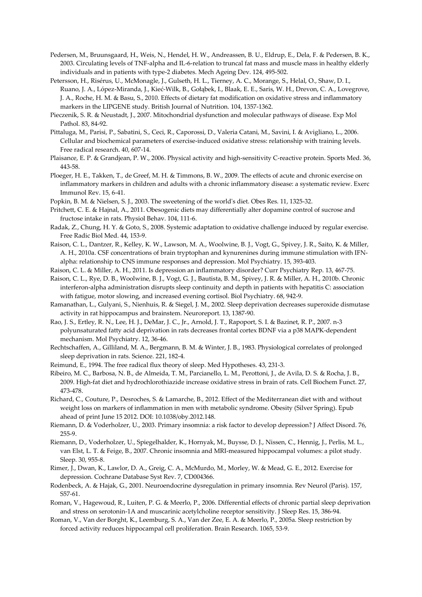- <span id="page-27-19"></span>Pedersen, M., Bruunsgaard, H., Weis, N., Hendel, H. W., Andreassen, B. U., Eldrup, E., Dela, F. & Pedersen, B. K., 2003. Circulating levels of TNF-alpha and IL-6-relation to truncal fat mass and muscle mass in healthy elderly individuals and in patients with type-2 diabetes. Mech Ageing Dev. 124, 495-502.
- <span id="page-27-7"></span>Petersson, H., Risérus, U., McMonagle, J., Gulseth, H. L., Tierney, A. C., Morange, S., Helal, O., Shaw, D. I., Ruano, J. A., López-Miranda, J., Kieć-Wilk, B., Gołąbek, I., Blaak, E. E., Saris, W. H., Drevon, C. A., Lovegrove, J. A., Roche, H. M. & Basu, S., 2010. Effects of dietary fat modification on oxidative stress and inflammatory markers in the LIPGENE study. British Journal of Nutrition. 104, 1357-1362.
- <span id="page-27-2"></span>Pieczenik, S. R. & Neustadt, J., 2007. Mitochondrial dysfunction and molecular pathways of disease. Exp Mol Pathol. 83, 84-92.
- <span id="page-27-22"></span>Pittaluga, M., Parisi, P., Sabatini, S., Ceci, R., Caporossi, D., Valeria Catani, M., Savini, I. & Avigliano, L., 2006. Cellular and biochemical parameters of exercise-induced oxidative stress: relationship with training levels. Free radical research. 40, 607-14.
- <span id="page-27-21"></span>Plaisance, E. P. & Grandjean, P. W., 2006. Physical activity and high-sensitivity C-reactive protein. Sports Med. 36, 443-58.
- <span id="page-27-20"></span>Ploeger, H. E., Takken, T., de Greef, M. H. & Timmons, B. W., 2009. The effects of acute and chronic exercise on inflammatory markers in children and adults with a chronic inflammatory disease: a systematic review. Exerc Immunol Rev. 15, 6-41.
- <span id="page-27-0"></span>Popkin, B. M. & Nielsen, S. J., 2003. The sweetening of the world's diet. Obes Res. 11, 1325-32.
- <span id="page-27-5"></span>Pritchett, C. E. & Hajnal, A., 2011. Obesogenic diets may differentially alter dopamine control of sucrose and fructose intake in rats. Physiol Behav. 104, 111-6.
- <span id="page-27-23"></span>Radak, Z., Chung, H. Y. & Goto, S., 2008. Systemic adaptation to oxidative challenge induced by regular exercise. Free Radic Biol Med. 44, 153-9.
- <span id="page-27-3"></span>Raison, C. L., Dantzer, R., Kelley, K. W., Lawson, M. A., Woolwine, B. J., Vogt, G., Spivey, J. R., Saito, K. & Miller, A. H., 2010a. CSF concentrations of brain tryptophan and kynurenines during immune stimulation with IFNalpha: relationship to CNS immune responses and depression. Mol Psychiatry. 15, 393-403.
- <span id="page-27-1"></span>Raison, C. L. & Miller, A. H., 2011. Is depression an inflammatory disorder? Curr Psychiatry Rep. 13, 467-75.
- <span id="page-27-10"></span>Raison, C. L., Rye, D. B., Woolwine, B. J., Vogt, G. J., Bautista, B. M., Spivey, J. R. & Miller, A. H., 2010b. Chronic interferon-alpha administration disrupts sleep continuity and depth in patients with hepatitis C: association with fatigue, motor slowing, and increased evening cortisol. Biol Psychiatry. 68, 942-9.
- <span id="page-27-13"></span>Ramanathan, L., Gulyani, S., Nienhuis, R. & Siegel, J. M., 2002. Sleep deprivation decreases superoxide dismutase activity in rat hippocampus and brainstem. Neuroreport. 13, 1387-90.
- <span id="page-27-8"></span>Rao, J. S., Ertley, R. N., Lee, H. J., DeMar, J. C., Jr., Arnold, J. T., Rapoport, S. I. & Bazinet, R. P., 2007. n-3 polyunsaturated fatty acid deprivation in rats decreases frontal cortex BDNF via a p38 MAPK-dependent mechanism. Mol Psychiatry. 12, 36-46.
- <span id="page-27-17"></span>Rechtschaffen, A., Gilliland, M. A., Bergmann, B. M. & Winter, J. B., 1983. Physiological correlates of prolonged sleep deprivation in rats. Science. 221, 182-4.
- <span id="page-27-12"></span>Reimund, E., 1994. The free radical flux theory of sleep. Med Hypotheses. 43, 231-3.
- <span id="page-27-6"></span>Ribeiro, M. C., Barbosa, N. B., de Almeida, T. M., Parcianello, L. M., Perottoni, J., de Avila, D. S. & Rocha, J. B., 2009. High-fat diet and hydrochlorothiazide increase oxidative stress in brain of rats. Cell Biochem Funct. 27, 473-478.
- <span id="page-27-4"></span>Richard, C., Couture, P., Desroches, S. & Lamarche, B., 2012. Effect of the Mediterranean diet with and without weight loss on markers of inflammation in men with metabolic syndrome. Obesity (Silver Spring). Epub ahead of print June 15 2012. DOI: 10.1038/oby.2012.148.
- <span id="page-27-9"></span>Riemann, D. & Voderholzer, U., 2003. Primary insomnia: a risk factor to develop depression? J Affect Disord. 76, 255-9.
- <span id="page-27-15"></span>Riemann, D., Voderholzer, U., Spiegelhalder, K., Hornyak, M., Buysse, D. J., Nissen, C., Hennig, J., Perlis, M. L., van Elst, L. T. & Feige, B., 2007. Chronic insomnia and MRI-measured hippocampal volumes: a pilot study. Sleep. 30, 955-8.
- <span id="page-27-18"></span>Rimer, J., Dwan, K., Lawlor, D. A., Greig, C. A., McMurdo, M., Morley, W. & Mead, G. E., 2012. Exercise for depression. Cochrane Database Syst Rev. 7, CD004366.
- <span id="page-27-16"></span>Rodenbeck, A. & Hajak, G., 2001. Neuroendocrine dysregulation in primary insomnia. Rev Neurol (Paris). 157, S57-61.
- <span id="page-27-11"></span>Roman, V., Hagewoud, R., Luiten, P. G. & Meerlo, P., 2006. Differential effects of chronic partial sleep deprivation and stress on serotonin-1A and muscarinic acetylcholine receptor sensitivity. J Sleep Res. 15, 386-94.
- <span id="page-27-14"></span>Roman, V., Van der Borght, K., Leemburg, S. A., Van der Zee, E. A. & Meerlo, P., 2005a. Sleep restriction by forced activity reduces hippocampal cell proliferation. Brain Research. 1065, 53-9.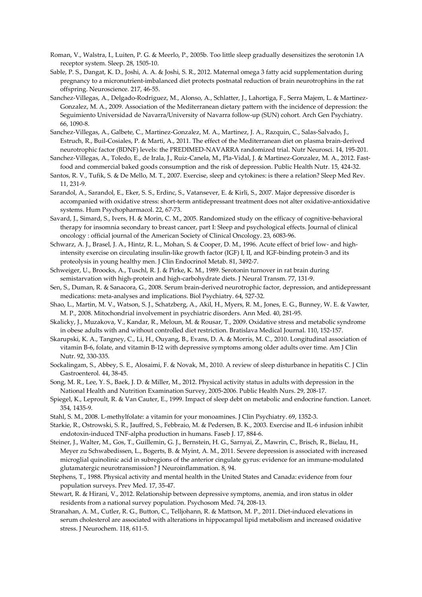- <span id="page-28-17"></span>Roman, V., Walstra, I., Luiten, P. G. & Meerlo, P., 2005b. Too little sleep gradually desensitizes the serotonin 1A receptor system. Sleep. 28, 1505-10.
- <span id="page-28-13"></span>Sable, P. S., Dangat, K. D., Joshi, A. A. & Joshi, S. R., 2012. Maternal omega 3 fatty acid supplementation during pregnancy to a micronutrient-imbalanced diet protects postnatal reduction of brain neurotrophins in the rat offspring. Neuroscience. 217, 46-55.
- <span id="page-28-4"></span>Sanchez-Villegas, A., Delgado-Rodriguez, M., Alonso, A., Schlatter, J., Lahortiga, F., Serra Majem, L. & Martinez-Gonzalez, M. A., 2009. Association of the Mediterranean dietary pattern with the incidence of depression: the Seguimiento Universidad de Navarra/University of Navarra follow-up (SUN) cohort. Arch Gen Psychiatry. 66, 1090-8.
- <span id="page-28-12"></span>Sanchez-Villegas, A., Galbete, C., Martinez-Gonzalez, M. A., Martinez, J. A., Razquin, C., Salas-Salvado, J., Estruch, R., Buil-Cosiales, P. & Marti, A., 2011. The effect of the Mediterranean diet on plasma brain-derived neurotrophic factor (BDNF) levels: the PREDIMED-NAVARRA randomized trial. Nutr Neurosci. 14, 195-201.
- <span id="page-28-5"></span>Sanchez-Villegas, A., Toledo, E., de Irala, J., Ruiz-Canela, M., Pla-Vidal, J. & Martinez-Gonzalez, M. A., 2012. Fastfood and commercial baked goods consumption and the risk of depression. Public Health Nutr. 15, 424-32.
- <span id="page-28-15"></span>Santos, R. V., Tufik, S. & De Mello, M. T., 2007. Exercise, sleep and cytokines: is there a relation? Sleep Med Rev. 11, 231-9.
- <span id="page-28-0"></span>Sarandol, A., Sarandol, E., Eker, S. S., Erdinc, S., Vatansever, E. & Kirli, S., 2007. Major depressive disorder is accompanied with oxidative stress: short-term antidepressant treatment does not alter oxidative-antioxidative systems. Hum Psychopharmacol. 22, 67-73.
- <span id="page-28-14"></span>Savard, J., Simard, S., Ivers, H. & Morin, C. M., 2005. Randomized study on the efficacy of cognitive-behavioral therapy for insomnia secondary to breast cancer, part I: Sleep and psychological effects. Journal of clinical oncology : official journal of the American Society of Clinical Oncology. 23, 6083-96.
- <span id="page-28-22"></span>Schwarz, A. J., Brasel, J. A., Hintz, R. L., Mohan, S. & Cooper, D. M., 1996. Acute effect of brief low- and highintensity exercise on circulating insulin-like growth factor (IGF) I, II, and IGF-binding protein-3 and its proteolysis in young healthy men. J Clin Endocrinol Metab. 81, 3492-7.
- <span id="page-28-8"></span>Schweiger, U., Broocks, A., Tuschl, R. J. & Pirke, K. M., 1989. Serotonin turnover in rat brain during semistarvation with high-protein and high-carbohydrate diets. J Neural Transm. 77, 131-9.
- <span id="page-28-1"></span>Sen, S., Duman, R. & Sanacora, G., 2008. Serum brain-derived neurotrophic factor, depression, and antidepressant medications: meta-analyses and implications. Biol Psychiatry. 64, 527-32.
- <span id="page-28-2"></span>Shao, L., Martin, M. V., Watson, S. J., Schatzberg, A., Akil, H., Myers, R. M., Jones, E. G., Bunney, W. E. & Vawter, M. P., 2008. Mitochondrial involvement in psychiatric disorders. Ann Med. 40, 281-95.
- <span id="page-28-11"></span>Skalicky, J., Muzakova, V., Kandar, R., Meloun, M. & Rousar, T., 2009. Oxidative stress and metabolic syndrome in obese adults with and without controlled diet restriction. Bratislava Medical Journal. 110, 152-157.
- <span id="page-28-7"></span>Skarupski, K. A., Tangney, C., Li, H., Ouyang, B., Evans, D. A. & Morris, M. C., 2010. Longitudinal association of vitamin B-6, folate, and vitamin B-12 with depressive symptoms among older adults over time. Am J Clin Nutr. 92, 330-335.
- <span id="page-28-16"></span>Sockalingam, S., Abbey, S. E., Alosaimi, F. & Novak, M., 2010. A review of sleep disturbance in hepatitis C. J Clin Gastroenterol. 44, 38-45.
- <span id="page-28-20"></span>Song, M. R., Lee, Y. S., Baek, J. D. & Miller, M., 2012. Physical activity status in adults with depression in the National Health and Nutrition Examination Survey, 2005-2006. Public Health Nurs. 29, 208-17.
- <span id="page-28-18"></span>Spiegel, K., Leproult, R. & Van Cauter, E., 1999. Impact of sleep debt on metabolic and endocrine function. Lancet. 354, 1435-9.
- <span id="page-28-9"></span>Stahl, S. M., 2008. L-methylfolate: a vitamin for your monoamines. J Clin Psychiatry. 69, 1352-3.
- <span id="page-28-21"></span>Starkie, R., Ostrowski, S. R., Jauffred, S., Febbraio, M. & Pedersen, B. K., 2003. Exercise and IL-6 infusion inhibit endotoxin-induced TNF-alpha production in humans. Faseb J. 17, 884-6.
- <span id="page-28-3"></span>Steiner, J., Walter, M., Gos, T., Guillemin, G. J., Bernstein, H. G., Sarnyai, Z., Mawrin, C., Brisch, R., Bielau, H., Meyer zu Schwabedissen, L., Bogerts, B. & Myint, A. M., 2011. Severe depression is associated with increased microglial quinolinic acid in subregions of the anterior cingulate gyrus: evidence for an immune-modulated glutamatergic neurotransmission? J Neuroinflammation. 8, 94.
- <span id="page-28-19"></span>Stephens, T., 1988. Physical activity and mental health in the United States and Canada: evidence from four population surveys. Prev Med. 17, 35-47.
- <span id="page-28-6"></span>Stewart, R. & Hirani, V., 2012. Relationship between depressive symptoms, anemia, and iron status in older residents from a national survey population. Psychosom Med. 74, 208-13.
- <span id="page-28-10"></span>Stranahan, A. M., Cutler, R. G., Button, C., Telljohann, R. & Mattson, M. P., 2011. Diet-induced elevations in serum cholesterol are associated with alterations in hippocampal lipid metabolism and increased oxidative stress. J Neurochem. 118, 611-5.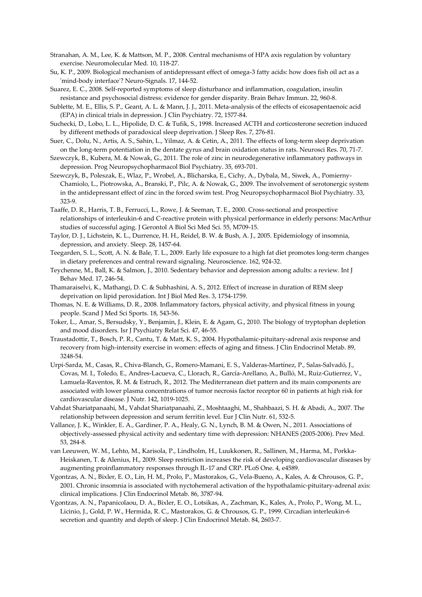<span id="page-29-20"></span>Stranahan, A. M., Lee, K. & Mattson, M. P., 2008. Central mechanisms of HPA axis regulation by voluntary exercise. Neuromolecular Med. 10, 118-27.

<span id="page-29-7"></span>Su, K. P., 2009. Biological mechanism of antidepressant effect of omega-3 fatty acids: how does fish oil act as a 'mind-body interface'? Neuro-Signals. 17, 144-52.

<span id="page-29-9"></span>Suarez, E. C., 2008. Self-reported symptoms of sleep disturbance and inflammation, coagulation, insulin resistance and psychosocial distress: evidence for gender disparity. Brain Behav Immun. 22, 960-8.

<span id="page-29-2"></span>Sublette, M. E., Ellis, S. P., Geant, A. L. & Mann, J. J., 2011. Meta-analysis of the effects of eicosapentaenoic acid (EPA) in clinical trials in depression. J Clin Psychiatry. 72, 1577-84.

<span id="page-29-15"></span>Suchecki, D., Lobo, L. L., Hipolide, D. C. & Tufik, S., 1998. Increased ACTH and corticosterone secretion induced by different methods of paradoxical sleep deprivation. J Sleep Res. 7, 276-81.

- <span id="page-29-12"></span>Suer, C., Dolu, N., Artis, A. S., Sahin, L., Yilmaz, A. & Cetin, A., 2011. The effects of long-term sleep deprivation on the long-term potentiation in the dentate gyrus and brain oxidation status in rats. Neurosci Res. 70, 71-7.
- <span id="page-29-1"></span>Szewczyk, B., Kubera, M. & Nowak, G., 2011. The role of zinc in neurodegenerative inflammatory pathways in depression. Prog Neuropsychopharmacol Biol Psychiatry. 35, 693-701.
- <span id="page-29-6"></span>Szewczyk, B., Poleszak, E., Wlaz, P., Wrobel, A., Blicharska, E., Cichy, A., Dybala, M., Siwek, A., Pomierny-Chamiolo, L., Piotrowska, A., Branski, P., Pilc, A. & Nowak, G., 2009. The involvement of serotonergic system in the antidepressant effect of zinc in the forced swim test. Prog Neuropsychopharmacol Biol Psychiatry. 33, 323-9.
- <span id="page-29-19"></span>Taaffe, D. R., Harris, T. B., Ferrucci, L., Rowe, J. & Seeman, T. E., 2000. Cross-sectional and prospective relationships of interleukin-6 and C-reactive protein with physical performance in elderly persons: MacArthur studies of successful aging. J Gerontol A Biol Sci Med Sci. 55, M709-15.
- <span id="page-29-8"></span>Taylor, D. J., Lichstein, K. L., Durrence, H. H., Reidel, B. W. & Bush, A. J., 2005. Epidemiology of insomnia, depression, and anxiety. Sleep. 28, 1457-64.
- <span id="page-29-5"></span>Teegarden, S. L., Scott, A. N. & Bale, T. L., 2009. Early life exposure to a high fat diet promotes long-term changes in dietary preferences and central reward signaling. Neuroscience. 162, 924-32.
- <span id="page-29-17"></span>Teychenne, M., Ball, K. & Salmon, J., 2010. Sedentary behavior and depression among adults: a review. Int J Behav Med. 17, 246-54.
- <span id="page-29-13"></span>Thamaraiselvi, K., Mathangi, D. C. & Subhashini, A. S., 2012. Effect of increase in duration of REM sleep deprivation on lipid peroxidation. Int J Biol Med Res. 3, 1754-1759.
- <span id="page-29-18"></span>Thomas, N. E. & Williams, D. R., 2008. Inflammatory factors, physical activity, and physical fitness in young people. Scand J Med Sci Sports. 18, 543-56.
- <span id="page-29-0"></span>Toker, L., Amar, S., Bersudsky, Y., Benjamin, J., Klein, E. & Agam, G., 2010. The biology of tryptophan depletion and mood disorders. Isr J Psychiatry Relat Sci. 47, 46-55.
- <span id="page-29-21"></span>Traustadottir, T., Bosch, P. R., Cantu, T. & Matt, K. S., 2004. Hypothalamic-pituitary-adrenal axis response and recovery from high-intensity exercise in women: effects of aging and fitness. J Clin Endocrinol Metab. 89, 3248-54.
- <span id="page-29-4"></span>Urpi-Sarda, M., Casas, R., Chiva-Blanch, G., Romero-Mamani, E. S., Valderas-Martínez, P., Salas-Salvadó, J., Covas, M. I., Toledo, E., Andres-Lacueva, C., Llorach, R., García-Arellano, A., Bulló, M., Ruiz-Gutierrez, V., Lamuela-Raventos, R. M. & Estruch, R., 2012. The Mediterranean diet pattern and its main components are associated with lower plasma concentrations of tumor necrosis factor receptor 60 in patients at high risk for cardiovascular disease. J Nutr. 142, 1019-1025.
- <span id="page-29-3"></span>Vahdat Shariatpanaahi, M., Vahdat Shariatpanaahi, Z., Moshtaaghi, M., Shahbaazi, S. H. & Abadi, A., 2007. The relationship between depression and serum ferritin level. Eur J Clin Nutr. 61, 532-5.
- <span id="page-29-16"></span>Vallance, J. K., Winkler, E. A., Gardiner, P. A., Healy, G. N., Lynch, B. M. & Owen, N., 2011. Associations of objectively-assessed physical activity and sedentary time with depression: NHANES (2005-2006). Prev Med. 53, 284-8.
- <span id="page-29-10"></span>van Leeuwen, W. M., Lehto, M., Karisola, P., Lindholm, H., Luukkonen, R., Sallinen, M., Harma, M., Porkka-Heiskanen, T. & Alenius, H., 2009. Sleep restriction increases the risk of developing cardiovascular diseases by augmenting proinflammatory responses through IL-17 and CRP. PLoS One. 4, e4589.
- <span id="page-29-14"></span>Vgontzas, A. N., Bixler, E. O., Lin, H. M., Prolo, P., Mastorakos, G., Vela-Bueno, A., Kales, A. & Chrousos, G. P., 2001. Chronic insomnia is associated with nyctohemeral activation of the hypothalamic-pituitary-adrenal axis: clinical implications. J Clin Endocrinol Metab. 86, 3787-94.
- <span id="page-29-11"></span>Vgontzas, A. N., Papanicolaou, D. A., Bixler, E. O., Lotsikas, A., Zachman, K., Kales, A., Prolo, P., Wong, M. L., Licinio, J., Gold, P. W., Hermida, R. C., Mastorakos, G. & Chrousos, G. P., 1999. Circadian interleukin-6 secretion and quantity and depth of sleep. J Clin Endocrinol Metab. 84, 2603-7.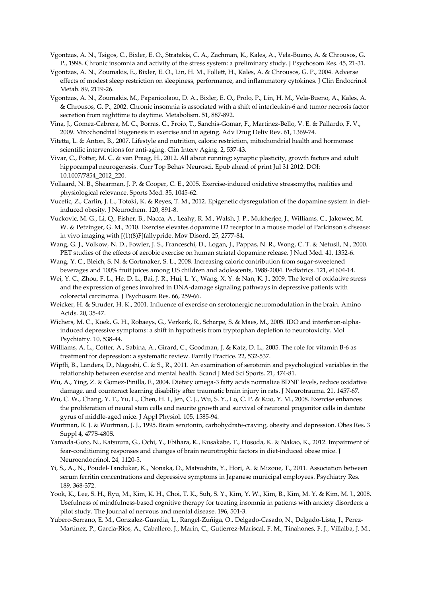- <span id="page-30-14"></span>Vgontzas, A. N., Tsigos, C., Bixler, E. O., Stratakis, C. A., Zachman, K., Kales, A., Vela-Bueno, A. & Chrousos, G. P., 1998. Chronic insomnia and activity of the stress system: a preliminary study. J Psychosom Res. 45, 21-31.
- <span id="page-30-13"></span>Vgontzas, A. N., Zoumakis, E., Bixler, E. O., Lin, H. M., Follett, H., Kales, A. & Chrousos, G. P., 2004. Adverse effects of modest sleep restriction on sleepiness, performance, and inflammatory cytokines. J Clin Endocrinol Metab. 89, 2119-26.
- <span id="page-30-12"></span>Vgontzas, A. N., Zoumakis, M., Papanicolaou, D. A., Bixler, E. O., Prolo, P., Lin, H. M., Vela-Bueno, A., Kales, A. & Chrousos, G. P., 2002. Chronic insomnia is associated with a shift of interleukin-6 and tumor necrosis factor secretion from nighttime to daytime. Metabolism. 51, 887-892.
- <span id="page-30-22"></span>Vina, J., Gomez-Cabrera, M. C., Borras, C., Froio, T., Sanchis-Gomar, F., Martinez-Bello, V. E. & Pallardo, F. V., 2009. Mitochondrial biogenesis in exercise and in ageing. Adv Drug Deliv Rev. 61, 1369-74.
- <span id="page-30-10"></span>Vitetta, L. & Anton, B., 2007. Lifestyle and nutrition, caloric restriction, mitochondrial health and hormones: scientific interventions for anti-aging. Clin Interv Aging. 2, 537-43.
- <span id="page-30-20"></span>Vivar, C., Potter, M. C. & van Praag, H., 2012. All about running: synaptic plasticity, growth factors and adult hippocampal neurogenesis. Curr Top Behav Neurosci. Epub ahead of print Jul 31 2012. DOI: 10.1007/7854\_2012\_220.
- <span id="page-30-19"></span>Vollaard, N. B., Shearman, J. P. & Cooper, C. E., 2005. Exercise-induced oxidative stress:myths, realities and physiological relevance. Sports Med. 35, 1045-62.
- <span id="page-30-6"></span>Vucetic, Z., Carlin, J. L., Totoki, K. & Reyes, T. M., 2012. Epigenetic dysregulation of the dopamine system in dietinduced obesity. J Neurochem. 120, 891-8.
- <span id="page-30-17"></span>Vuckovic, M. G., Li, Q., Fisher, B., Nacca, A., Leahy, R. M., Walsh, J. P., Mukherjee, J., Williams, C., Jakowec, M. W. & Petzinger, G. M., 2010. Exercise elevates dopamine D2 receptor in a mouse model of Parkinson's disease: in vivo imaging with [(1)(8)F]fallypride. Mov Disord. 25, 2777-84.
- <span id="page-30-18"></span>Wang, G. J., Volkow, N. D., Fowler, J. S., Franceschi, D., Logan, J., Pappas, N. R., Wong, C. T. & Netusil, N., 2000. PET studies of the effects of aerobic exercise on human striatal dopamine release. J Nucl Med. 41, 1352-6.
- <span id="page-30-0"></span>Wang, Y. C., Bleich, S. N. & Gortmaker, S. L., 2008. Increasing caloric contribution from sugar-sweetened beverages and 100% fruit juices among US children and adolescents, 1988-2004. Pediatrics. 121, e1604-14.
- <span id="page-30-1"></span>Wei, Y. C., Zhou, F. L., He, D. L., Bai, J. R., Hui, L. Y., Wang, X. Y. & Nan, K. J., 2009. The level of oxidative stress and the expression of genes involved in DNA-damage signaling pathways in depressive patients with colorectal carcinoma. J Psychosom Res. 66, 259-66.
- <span id="page-30-16"></span>Weicker, H. & Struder, H. K., 2001. Influence of exercise on serotonergic neuromodulation in the brain. Amino Acids. 20, 35-47.
- <span id="page-30-2"></span>Wichers, M. C., Koek, G. H., Robaeys, G., Verkerk, R., Scharpe, S. & Maes, M., 2005. IDO and interferon-alphainduced depressive symptoms: a shift in hypothesis from tryptophan depletion to neurotoxicity. Mol Psychiatry. 10, 538-44.
- <span id="page-30-4"></span>Williams, A. L., Cotter, A., Sabina, A., Girard, C., Goodman, J. & Katz, D. L., 2005. The role for vitamin B-6 as treatment for depression: a systematic review. Family Practice. 22, 532-537.
- <span id="page-30-15"></span>Wipfli, B., Landers, D., Nagoshi, C. & S., R., 2011. An examination of serotonin and psychological variables in the relationship between exercise and mental health. Scand J Med Sci Sports. 21, 474-81.
- <span id="page-30-9"></span>Wu, A., Ying, Z. & Gomez-Pinilla, F., 2004. Dietary omega-3 fatty acids normalize BDNF levels, reduce oxidative damage, and counteract learning disability after traumatic brain injury in rats. J Neurotrauma. 21, 1457-67.
- <span id="page-30-21"></span>Wu, C. W., Chang, Y. T., Yu, L., Chen, H. I., Jen, C. J., Wu, S. Y., Lo, C. P. & Kuo, Y. M., 2008. Exercise enhances the proliferation of neural stem cells and neurite growth and survival of neuronal progenitor cells in dentate gyrus of middle-aged mice. J Appl Physiol. 105, 1585-94.
- <span id="page-30-5"></span>Wurtman, R. J. & Wurtman, J. J., 1995. Brain serotonin, carbohydrate-craving, obesity and depression. Obes Res. 3 Suppl 4, 477S-480S.
- <span id="page-30-8"></span>Yamada-Goto, N., Katsuura, G., Ochi, Y., Ebihara, K., Kusakabe, T., Hosoda, K. & Nakao, K., 2012. Impairment of fear-conditioning responses and changes of brain neurotrophic factors in diet-induced obese mice. J Neuroendocrinol. 24, 1120-5.
- <span id="page-30-3"></span>Yi, S., A., N., Poudel-Tandukar, K., Nonaka, D., Matsushita, Y., Hori, A. & Mizoue, T., 2011. Association between serum ferritin concentrations and depressive symptoms in Japanese municipal employees. Psychiatry Res. 189, 368-372.
- <span id="page-30-11"></span>Yook, K., Lee, S. H., Ryu, M., Kim, K. H., Choi, T. K., Suh, S. Y., Kim, Y. W., Kim, B., Kim, M. Y. & Kim, M. J., 2008. Usefulness of mindfulness-based cognitive therapy for treating insomnia in patients with anxiety disorders: a pilot study. The Journal of nervous and mental disease. 196, 501-3.
- <span id="page-30-7"></span>Yubero-Serrano, E. M., Gonzalez-Guardia, L., Rangel-Zuñiga, O., Delgado-Casado, N., Delgado-Lista, J., Perez-Martinez, P., Garcia-Rios, A., Caballero, J., Marin, C., Gutierrez-Mariscal, F. M., Tinahones, F. J., Villalba, J. M.,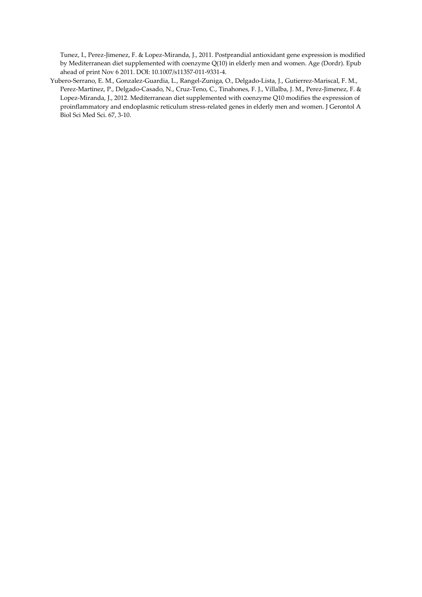Tunez, I., Perez-Jimenez, F. & Lopez-Miranda, J., 2011. Postprandial antioxidant gene expression is modified by Mediterranean diet supplemented with coenzyme Q(10) in elderly men and women. Age (Dordr). Epub ahead of print Nov 6 2011. DOI: 10.1007/s11357-011-9331-4.

<span id="page-31-0"></span>Yubero-Serrano, E. M., Gonzalez-Guardia, L., Rangel-Zuniga, O., Delgado-Lista, J., Gutierrez-Mariscal, F. M., Perez-Martinez, P., Delgado-Casado, N., Cruz-Teno, C., Tinahones, F. J., Villalba, J. M., Perez-Jimenez, F. & Lopez-Miranda, J., 2012. Mediterranean diet supplemented with coenzyme Q10 modifies the expression of proinflammatory and endoplasmic reticulum stress-related genes in elderly men and women. J Gerontol A Biol Sci Med Sci. 67, 3-10.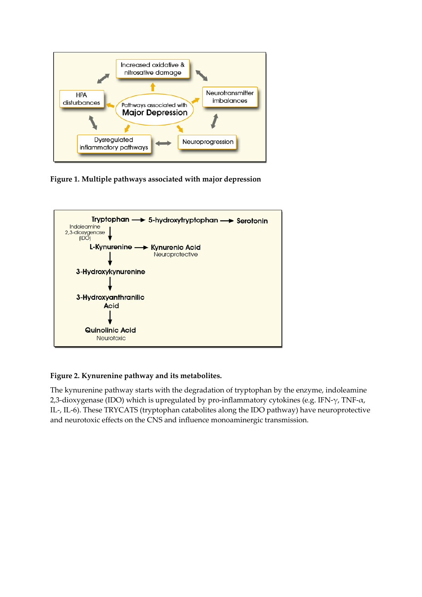

**Figure 1. Multiple pathways associated with major depression**



#### **Figure 2. Kynurenine pathway and its metabolites.**

The kynurenine pathway starts with the degradation of tryptophan by the enzyme, indoleamine 2,3-dioxygenase (IDO) which is upregulated by pro-inflammatory cytokines (e.g. IFN-γ, TNF- $\alpha$ , IL-, IL-6). These TRYCATS (tryptophan catabolites along the IDO pathway) have neuroprotective and neurotoxic effects on the CNS and influence monoaminergic transmission.